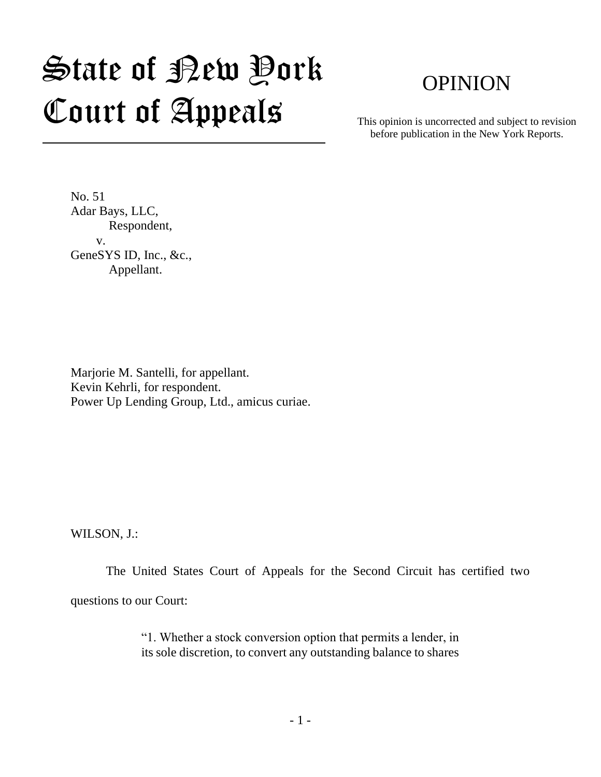# State of New York Court of Appeals

# OPINION

This opinion is uncorrected and subject to revision before publication in the New York Reports.

No. 51 Adar Bays, LLC, Respondent, v. GeneSYS ID, Inc., &c., Appellant.

Marjorie M. Santelli, for appellant. Kevin Kehrli, for respondent. Power Up Lending Group, Ltd., amicus curiae.

WILSON, J.:

The United States Court of Appeals for the Second Circuit has certified two questions to our Court:

> "1. Whether a stock conversion option that permits a lender, in its sole discretion, to convert any outstanding balance to shares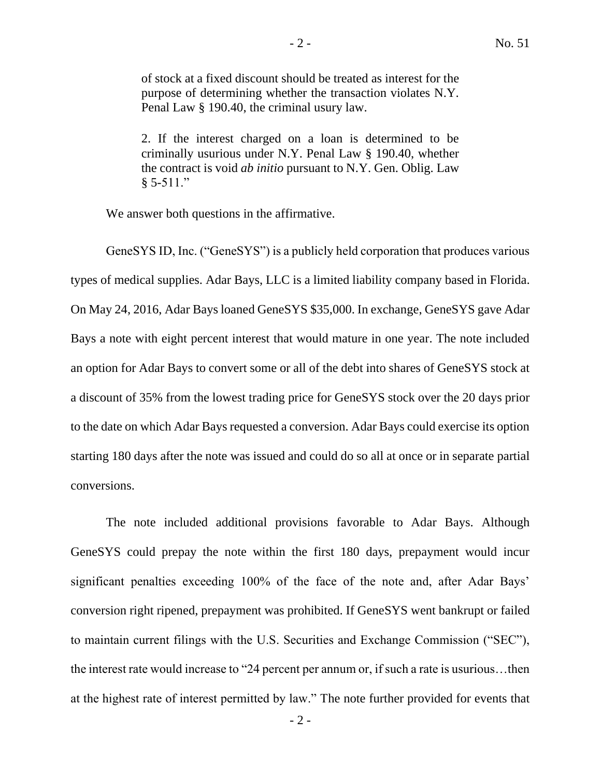of stock at a fixed discount should be treated as interest for the purpose of determining whether the transaction violates N.Y. Penal Law § 190.40, the criminal usury law.

2. If the interest charged on a loan is determined to be criminally usurious under N.Y. Penal Law § 190.40, whether the contract is void *ab initio* pursuant to N.Y. Gen. Oblig. Law  $§ 5-511."$ 

We answer both questions in the affirmative.

GeneSYS ID, Inc. ("GeneSYS") is a publicly held corporation that produces various types of medical supplies. Adar Bays, LLC is a limited liability company based in Florida. On May 24, 2016, Adar Bays loaned GeneSYS \$35,000. In exchange, GeneSYS gave Adar Bays a note with eight percent interest that would mature in one year. The note included an option for Adar Bays to convert some or all of the debt into shares of GeneSYS stock at a discount of 35% from the lowest trading price for GeneSYS stock over the 20 days prior to the date on which Adar Bays requested a conversion. Adar Bays could exercise its option starting 180 days after the note was issued and could do so all at once or in separate partial conversions.

The note included additional provisions favorable to Adar Bays. Although GeneSYS could prepay the note within the first 180 days, prepayment would incur significant penalties exceeding 100% of the face of the note and, after Adar Bays' conversion right ripened, prepayment was prohibited. If GeneSYS went bankrupt or failed to maintain current filings with the U.S. Securities and Exchange Commission ("SEC"), the interest rate would increase to "24 percent per annum or, if such a rate is usurious…then at the highest rate of interest permitted by law." The note further provided for events that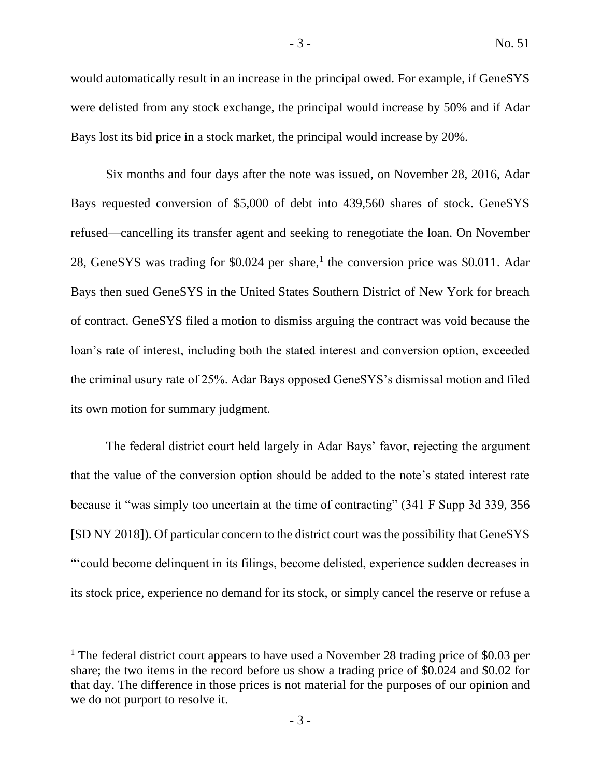would automatically result in an increase in the principal owed. For example, if GeneSYS were delisted from any stock exchange, the principal would increase by 50% and if Adar Bays lost its bid price in a stock market, the principal would increase by 20%.

Six months and four days after the note was issued, on November 28, 2016, Adar Bays requested conversion of \$5,000 of debt into 439,560 shares of stock. GeneSYS refused—cancelling its transfer agent and seeking to renegotiate the loan. On November 28, GeneSYS was trading for \$0.024 per share,<sup>1</sup> the conversion price was \$0.011. Adar Bays then sued GeneSYS in the United States Southern District of New York for breach of contract. GeneSYS filed a motion to dismiss arguing the contract was void because the loan's rate of interest, including both the stated interest and conversion option, exceeded the criminal usury rate of 25%. Adar Bays opposed GeneSYS's dismissal motion and filed its own motion for summary judgment.

The federal district court held largely in Adar Bays' favor, rejecting the argument that the value of the conversion option should be added to the note's stated interest rate because it "was simply too uncertain at the time of contracting" (341 F Supp 3d 339, 356 [SD NY 2018]). Of particular concern to the district court was the possibility that GeneSYS "'could become delinquent in its filings, become delisted, experience sudden decreases in its stock price, experience no demand for its stock, or simply cancel the reserve or refuse a

<sup>&</sup>lt;sup>1</sup> The federal district court appears to have used a November 28 trading price of \$0.03 per share; the two items in the record before us show a trading price of \$0.024 and \$0.02 for that day. The difference in those prices is not material for the purposes of our opinion and we do not purport to resolve it.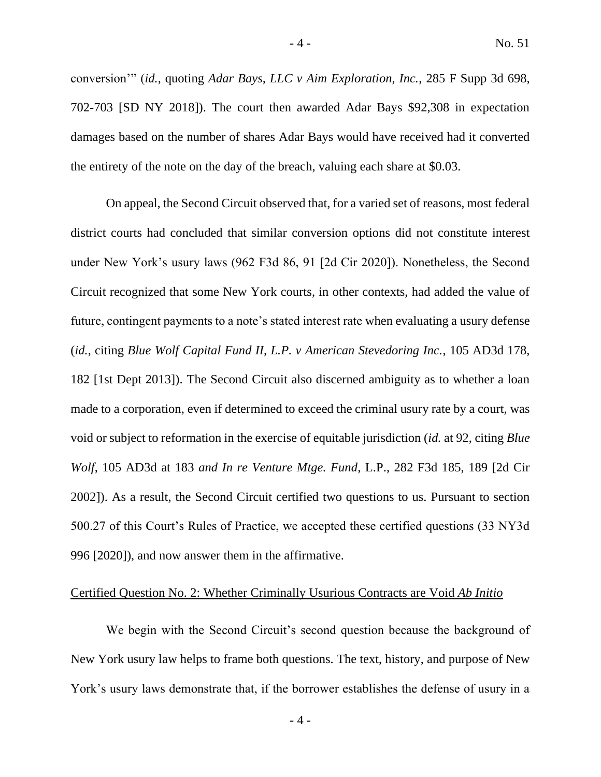conversion'" (*id.*, quoting *Adar Bays, LLC v Aim Exploration, Inc.*, 285 F Supp 3d 698, 702-703 [SD NY 2018]). The court then awarded Adar Bays \$92,308 in expectation damages based on the number of shares Adar Bays would have received had it converted the entirety of the note on the day of the breach, valuing each share at \$0.03.

On appeal, the Second Circuit observed that, for a varied set of reasons, most federal district courts had concluded that similar conversion options did not constitute interest under New York's usury laws (962 F3d 86, 91 [2d Cir 2020]). Nonetheless, the Second Circuit recognized that some New York courts, in other contexts, had added the value of future, contingent payments to a note's stated interest rate when evaluating a usury defense (*id.*, citing *Blue Wolf Capital Fund II, L.P. v American Stevedoring Inc.*, 105 AD3d 178, 182 [1st Dept 2013]). The Second Circuit also discerned ambiguity as to whether a loan made to a corporation, even if determined to exceed the criminal usury rate by a court, was void or subject to reformation in the exercise of equitable jurisdiction (*id.* at 92, citing *Blue Wolf*, 105 AD3d at 183 *and In re Venture Mtge. Fund*, L.P., 282 F3d 185, 189 [2d Cir 2002]). As a result, the Second Circuit certified two questions to us. Pursuant to section 500.27 of this Court's Rules of Practice, we accepted these certified questions (33 NY3d 996 [2020]), and now answer them in the affirmative.

## Certified Question No. 2: Whether Criminally Usurious Contracts are Void *Ab Initio*

We begin with the Second Circuit's second question because the background of New York usury law helps to frame both questions. The text, history, and purpose of New York's usury laws demonstrate that, if the borrower establishes the defense of usury in a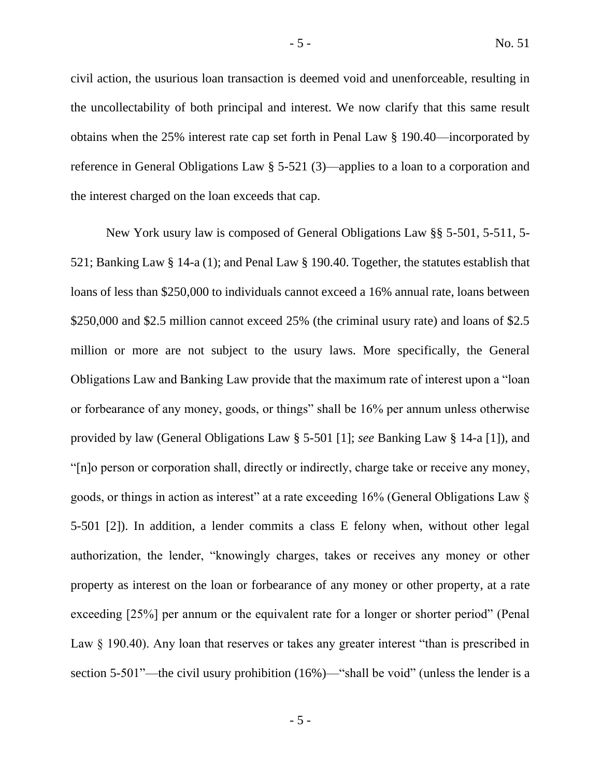civil action, the usurious loan transaction is deemed void and unenforceable, resulting in the uncollectability of both principal and interest. We now clarify that this same result obtains when the 25% interest rate cap set forth in Penal Law § 190.40—incorporated by reference in General Obligations Law § 5-521 (3)—applies to a loan to a corporation and the interest charged on the loan exceeds that cap.

New York usury law is composed of General Obligations Law §§ 5-501, 5-511, 5- 521; Banking Law § 14-a (1); and Penal Law § 190.40. Together, the statutes establish that loans of less than \$250,000 to individuals cannot exceed a 16% annual rate, loans between \$250,000 and \$2.5 million cannot exceed 25% (the criminal usury rate) and loans of \$2.5 million or more are not subject to the usury laws. More specifically, the General Obligations Law and Banking Law provide that the maximum rate of interest upon a "loan or forbearance of any money, goods, or things" shall be 16% per annum unless otherwise provided by law (General Obligations Law § 5-501 [1]; *see* Banking Law § 14-a [1]), and "[n]o person or corporation shall, directly or indirectly, charge take or receive any money, goods, or things in action as interest" at a rate exceeding 16% (General Obligations Law § 5-501 [2]). In addition, a lender commits a class E felony when, without other legal authorization, the lender, "knowingly charges, takes or receives any money or other property as interest on the loan or forbearance of any money or other property, at a rate exceeding [25%] per annum or the equivalent rate for a longer or shorter period" (Penal Law  $\S$  190.40). Any loan that reserves or takes any greater interest "than is prescribed in section 5-501"—the civil usury prohibition (16%)—"shall be void" (unless the lender is a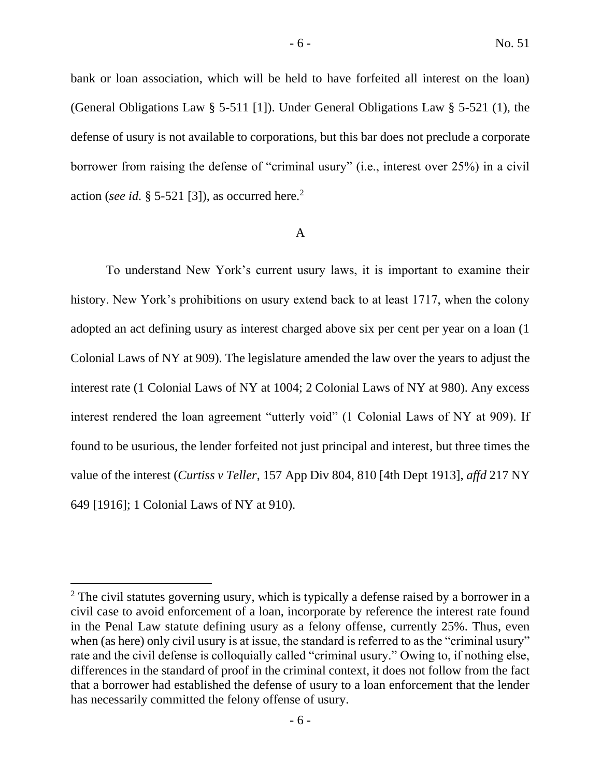bank or loan association, which will be held to have forfeited all interest on the loan) (General Obligations Law § 5-511 [1]). Under General Obligations Law § 5-521 (1), the defense of usury is not available to corporations, but this bar does not preclude a corporate borrower from raising the defense of "criminal usury" (i.e., interest over 25%) in a civil action (*see id.* § 5-521 [3]), as occurred here.<sup>2</sup>

### A

To understand New York's current usury laws, it is important to examine their history. New York's prohibitions on usury extend back to at least 1717, when the colony adopted an act defining usury as interest charged above six per cent per year on a loan (1 Colonial Laws of NY at 909). The legislature amended the law over the years to adjust the interest rate (1 Colonial Laws of NY at 1004; 2 Colonial Laws of NY at 980). Any excess interest rendered the loan agreement "utterly void" (1 Colonial Laws of NY at 909). If found to be usurious, the lender forfeited not just principal and interest, but three times the value of the interest (*Curtiss v Teller*, 157 App Div 804, 810 [4th Dept 1913], *affd* 217 NY 649 [1916]; 1 Colonial Laws of NY at 910).

 $2$  The civil statutes governing usury, which is typically a defense raised by a borrower in a civil case to avoid enforcement of a loan, incorporate by reference the interest rate found in the Penal Law statute defining usury as a felony offense, currently 25%. Thus, even when (as here) only civil usury is at issue, the standard is referred to as the "criminal usury" rate and the civil defense is colloquially called "criminal usury." Owing to, if nothing else, differences in the standard of proof in the criminal context, it does not follow from the fact that a borrower had established the defense of usury to a loan enforcement that the lender has necessarily committed the felony offense of usury.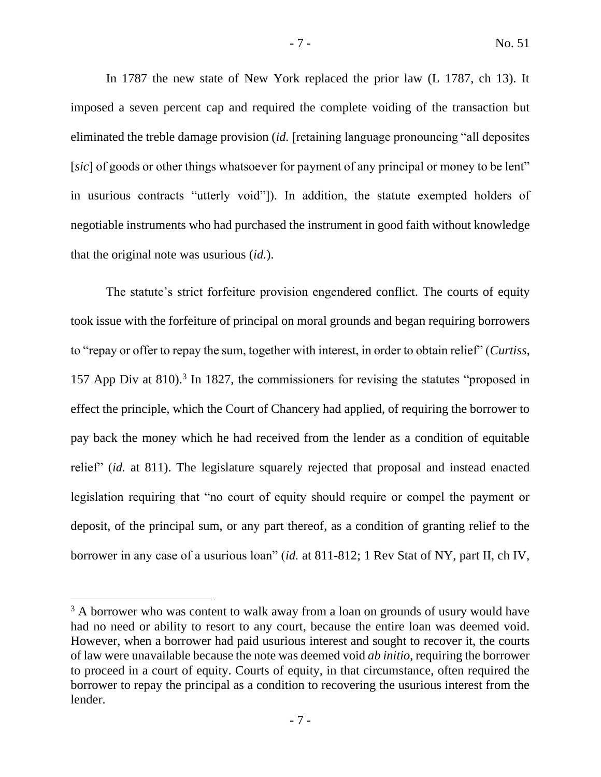In 1787 the new state of New York replaced the prior law (L 1787, ch 13). It imposed a seven percent cap and required the complete voiding of the transaction but eliminated the treble damage provision (*id.* [retaining language pronouncing "all deposites [sic] of goods or other things whatsoever for payment of any principal or money to be lent" in usurious contracts "utterly void"]). In addition, the statute exempted holders of negotiable instruments who had purchased the instrument in good faith without knowledge that the original note was usurious (*id.*).

The statute's strict forfeiture provision engendered conflict. The courts of equity took issue with the forfeiture of principal on moral grounds and began requiring borrowers to "repay or offer to repay the sum, together with interest, in order to obtain relief" (*Curtiss*, 157 App Div at 810).<sup>3</sup> In 1827, the commissioners for revising the statutes "proposed in effect the principle, which the Court of Chancery had applied, of requiring the borrower to pay back the money which he had received from the lender as a condition of equitable relief" (*id.* at 811). The legislature squarely rejected that proposal and instead enacted legislation requiring that "no court of equity should require or compel the payment or deposit, of the principal sum, or any part thereof, as a condition of granting relief to the borrower in any case of a usurious loan" (*id.* at 811-812; 1 Rev Stat of NY, part II, ch IV,

<sup>&</sup>lt;sup>3</sup> A borrower who was content to walk away from a loan on grounds of usury would have had no need or ability to resort to any court, because the entire loan was deemed void. However, when a borrower had paid usurious interest and sought to recover it, the courts of law were unavailable because the note was deemed void *ab initio*, requiring the borrower to proceed in a court of equity. Courts of equity, in that circumstance, often required the borrower to repay the principal as a condition to recovering the usurious interest from the lender.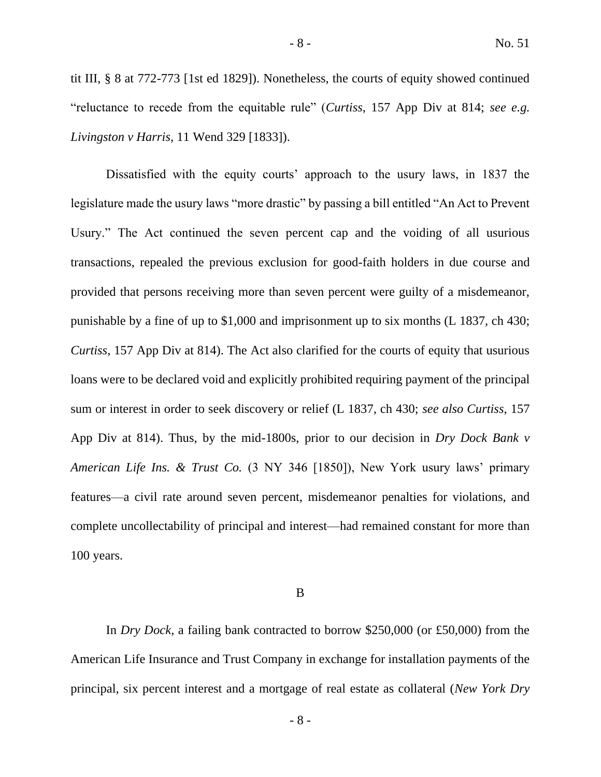tit III, § 8 at 772-773 [1st ed 1829]). Nonetheless, the courts of equity showed continued "reluctance to recede from the equitable rule" (*Curtiss*, 157 App Div at 814; *see e.g. Livingston v Harris*, 11 Wend 329 [1833]).

Dissatisfied with the equity courts' approach to the usury laws, in 1837 the legislature made the usury laws "more drastic" by passing a bill entitled "An Act to Prevent Usury." The Act continued the seven percent cap and the voiding of all usurious transactions, repealed the previous exclusion for good-faith holders in due course and provided that persons receiving more than seven percent were guilty of a misdemeanor, punishable by a fine of up to \$1,000 and imprisonment up to six months (L 1837, ch 430; *Curtiss*, 157 App Div at 814). The Act also clarified for the courts of equity that usurious loans were to be declared void and explicitly prohibited requiring payment of the principal sum or interest in order to seek discovery or relief (L 1837, ch 430; *see also Curtiss*, 157 App Div at 814). Thus, by the mid-1800s, prior to our decision in *Dry Dock Bank v American Life Ins. & Trust Co.* (3 NY 346 [1850]), New York usury laws' primary features—a civil rate around seven percent, misdemeanor penalties for violations, and complete uncollectability of principal and interest—had remained constant for more than 100 years.

#### B

In *Dry Dock*, a failing bank contracted to borrow \$250,000 (or £50,000) from the American Life Insurance and Trust Company in exchange for installation payments of the principal, six percent interest and a mortgage of real estate as collateral (*New York Dry* 

- 8 -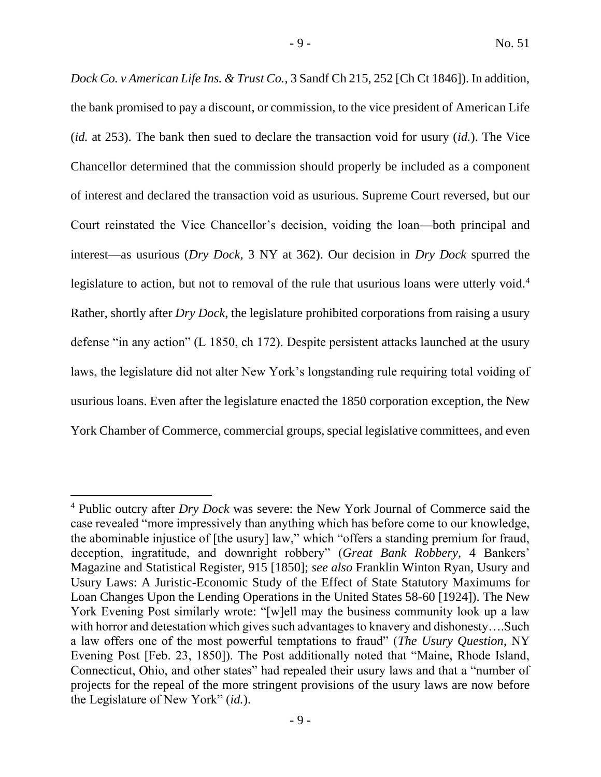*Dock Co. v American Life Ins. & Trust Co.*, 3 Sandf Ch 215, 252 [Ch Ct 1846]). In addition, the bank promised to pay a discount, or commission, to the vice president of American Life (*id.* at 253). The bank then sued to declare the transaction void for usury (*id.*). The Vice Chancellor determined that the commission should properly be included as a component of interest and declared the transaction void as usurious. Supreme Court reversed, but our Court reinstated the Vice Chancellor's decision, voiding the loan—both principal and interest—as usurious (*Dry Dock,* 3 NY at 362). Our decision in *Dry Dock* spurred the legislature to action, but not to removal of the rule that usurious loans were utterly void.<sup>4</sup> Rather, shortly after *Dry Dock*, the legislature prohibited corporations from raising a usury defense "in any action" (L 1850, ch 172). Despite persistent attacks launched at the usury laws, the legislature did not alter New York's longstanding rule requiring total voiding of usurious loans. Even after the legislature enacted the 1850 corporation exception, the New York Chamber of Commerce, commercial groups, special legislative committees, and even

<sup>4</sup> Public outcry after *Dry Dock* was severe: the New York Journal of Commerce said the case revealed "more impressively than anything which has before come to our knowledge, the abominable injustice of [the usury] law," which "offers a standing premium for fraud, deception, ingratitude, and downright robbery" (*Great Bank Robbery*, 4 Bankers' Magazine and Statistical Register, 915 [1850]; *see also* Franklin Winton Ryan, Usury and Usury Laws: A Juristic-Economic Study of the Effect of State Statutory Maximums for Loan Changes Upon the Lending Operations in the United States 58-60 [1924]). The New York Evening Post similarly wrote: "[w]ell may the business community look up a law with horror and detestation which gives such advantages to knavery and dishonesty….Such a law offers one of the most powerful temptations to fraud" (*The Usury Question*, NY Evening Post [Feb. 23, 1850]). The Post additionally noted that "Maine, Rhode Island, Connecticut, Ohio, and other states" had repealed their usury laws and that a "number of projects for the repeal of the more stringent provisions of the usury laws are now before the Legislature of New York" (*id.*).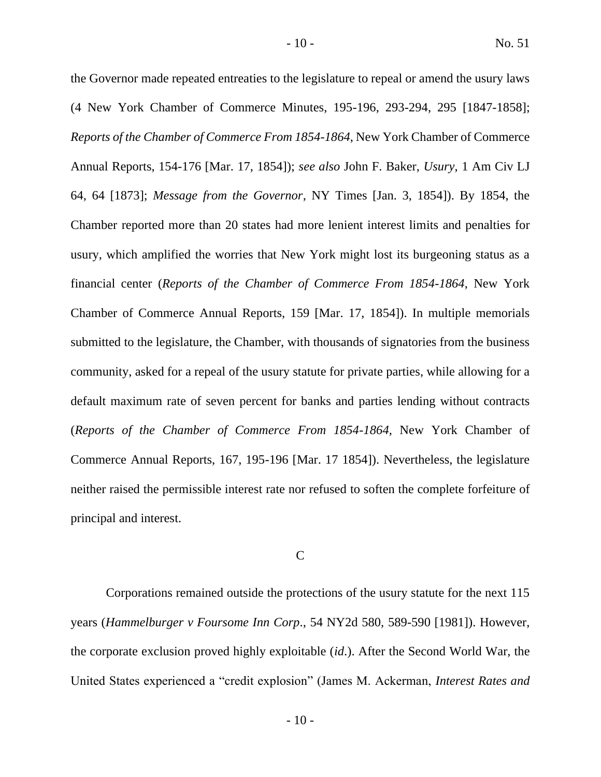the Governor made repeated entreaties to the legislature to repeal or amend the usury laws (4 New York Chamber of Commerce Minutes, 195-196, 293-294, 295 [1847-1858]; *Reports of the Chamber of Commerce From 1854-1864*, New York Chamber of Commerce Annual Reports, 154-176 [Mar. 17, 1854]); *see also* John F. Baker, *Usury*, 1 Am Civ LJ 64, 64 [1873]; *Message from the Governor*, NY Times [Jan. 3, 1854]). By 1854, the Chamber reported more than 20 states had more lenient interest limits and penalties for usury, which amplified the worries that New York might lost its burgeoning status as a financial center (*Reports of the Chamber of Commerce From 1854-1864*, New York Chamber of Commerce Annual Reports, 159 [Mar. 17, 1854]). In multiple memorials submitted to the legislature, the Chamber, with thousands of signatories from the business community, asked for a repeal of the usury statute for private parties, while allowing for a default maximum rate of seven percent for banks and parties lending without contracts (*Reports of the Chamber of Commerce From 1854-1864*, New York Chamber of Commerce Annual Reports, 167, 195-196 [Mar. 17 1854]). Nevertheless, the legislature neither raised the permissible interest rate nor refused to soften the complete forfeiture of principal and interest.

## C

Corporations remained outside the protections of the usury statute for the next 115 years (*Hammelburger v Foursome Inn Corp*., 54 NY2d 580, 589-590 [1981]). However, the corporate exclusion proved highly exploitable (*id*.). After the Second World War, the United States experienced a "credit explosion" (James M. Ackerman, *Interest Rates and*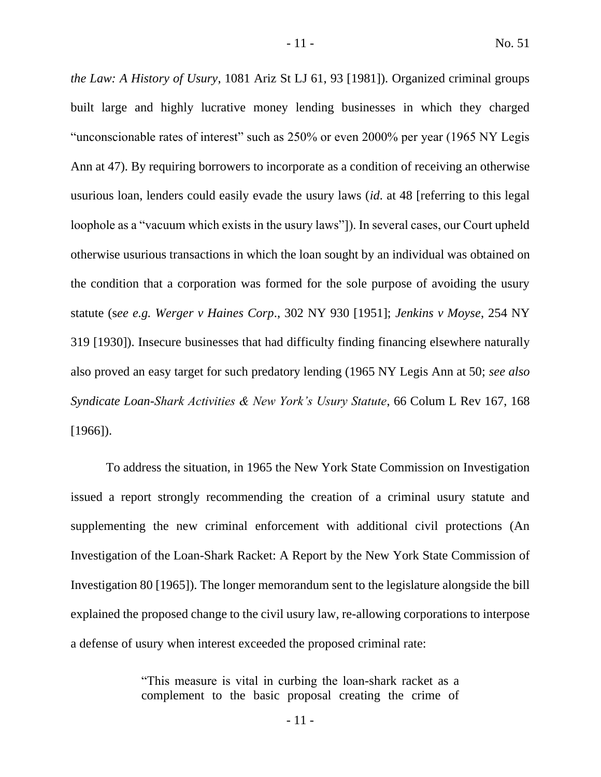*the Law: A History of Usury*, 1081 Ariz St LJ 61, 93 [1981]). Organized criminal groups built large and highly lucrative money lending businesses in which they charged "unconscionable rates of interest" such as 250% or even 2000% per year (1965 NY Legis Ann at 47). By requiring borrowers to incorporate as a condition of receiving an otherwise usurious loan, lenders could easily evade the usury laws (*id*. at 48 [referring to this legal loophole as a "vacuum which exists in the usury laws"]). In several cases, our Court upheld otherwise usurious transactions in which the loan sought by an individual was obtained on the condition that a corporation was formed for the sole purpose of avoiding the usury statute (s*ee e.g. Werger v Haines Corp*., 302 NY 930 [1951]; *Jenkins v Moyse*, 254 NY 319 [1930]). Insecure businesses that had difficulty finding financing elsewhere naturally also proved an easy target for such predatory lending (1965 NY Legis Ann at 50; *see also Syndicate Loan-Shark Activities & New York's Usury Statute*, 66 Colum L Rev 167, 168 [1966]).

To address the situation, in 1965 the New York State Commission on Investigation issued a report strongly recommending the creation of a criminal usury statute and supplementing the new criminal enforcement with additional civil protections (An Investigation of the Loan-Shark Racket: A Report by the New York State Commission of Investigation 80 [1965]). The longer memorandum sent to the legislature alongside the bill explained the proposed change to the civil usury law, re-allowing corporations to interpose a defense of usury when interest exceeded the proposed criminal rate:

> "This measure is vital in curbing the loan-shark racket as a complement to the basic proposal creating the crime of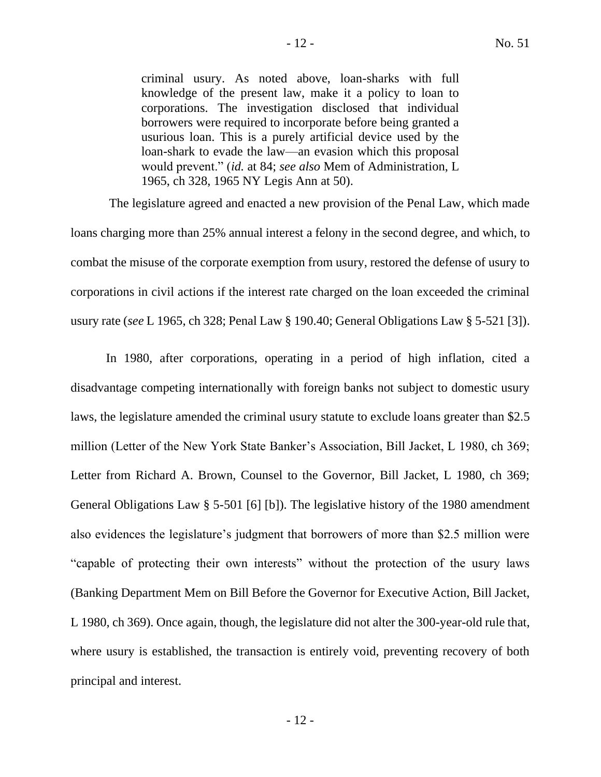criminal usury. As noted above, loan-sharks with full knowledge of the present law, make it a policy to loan to corporations. The investigation disclosed that individual borrowers were required to incorporate before being granted a usurious loan. This is a purely artificial device used by the loan-shark to evade the law—an evasion which this proposal would prevent." (*id.* at 84; *see also* Mem of Administration, L 1965, ch 328, 1965 NY Legis Ann at 50).

The legislature agreed and enacted a new provision of the Penal Law, which made loans charging more than 25% annual interest a felony in the second degree, and which, to combat the misuse of the corporate exemption from usury, restored the defense of usury to corporations in civil actions if the interest rate charged on the loan exceeded the criminal usury rate (*see* L 1965, ch 328; Penal Law § 190.40; General Obligations Law § 5-521 [3]).

In 1980, after corporations, operating in a period of high inflation, cited a disadvantage competing internationally with foreign banks not subject to domestic usury laws, the legislature amended the criminal usury statute to exclude loans greater than \$2.5 million (Letter of the New York State Banker's Association, Bill Jacket, L 1980, ch 369; Letter from Richard A. Brown, Counsel to the Governor, Bill Jacket, L 1980, ch 369; General Obligations Law § 5-501 [6] [b]). The legislative history of the 1980 amendment also evidences the legislature's judgment that borrowers of more than \$2.5 million were "capable of protecting their own interests" without the protection of the usury laws (Banking Department Mem on Bill Before the Governor for Executive Action, Bill Jacket, L 1980, ch 369). Once again, though, the legislature did not alter the 300-year-old rule that, where usury is established, the transaction is entirely void, preventing recovery of both principal and interest.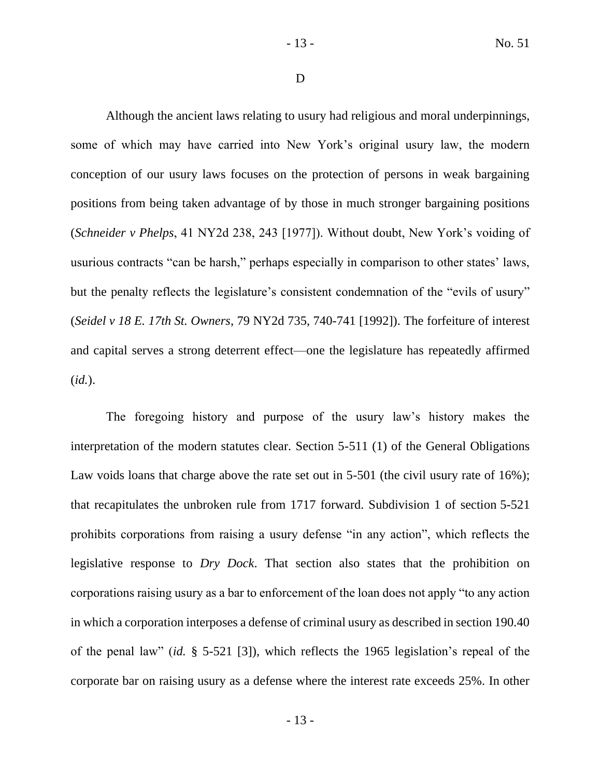D

Although the ancient laws relating to usury had religious and moral underpinnings, some of which may have carried into New York's original usury law, the modern conception of our usury laws focuses on the protection of persons in weak bargaining positions from being taken advantage of by those in much stronger bargaining positions (*Schneider v Phelps*, 41 NY2d 238, 243 [1977]). Without doubt, New York's voiding of usurious contracts "can be harsh," perhaps especially in comparison to other states' laws, but the penalty reflects the legislature's consistent condemnation of the "evils of usury" (*Seidel v 18 E. 17th St. Owners*, 79 NY2d 735, 740-741 [1992]). The forfeiture of interest and capital serves a strong deterrent effect—one the legislature has repeatedly affirmed (*id.*).

The foregoing history and purpose of the usury law's history makes the interpretation of the modern statutes clear. Section 5-511 (1) of the General Obligations Law voids loans that charge above the rate set out in 5-501 (the civil usury rate of 16%); that recapitulates the unbroken rule from 1717 forward. Subdivision 1 of section 5-521 prohibits corporations from raising a usury defense "in any action", which reflects the legislative response to *Dry Dock*. That section also states that the prohibition on corporations raising usury as a bar to enforcement of the loan does not apply "to any action in which a corporation interposes a defense of criminal usury as described in section 190.40 of the penal law" (*id.* § 5-521 [3]), which reflects the 1965 legislation's repeal of the corporate bar on raising usury as a defense where the interest rate exceeds 25%. In other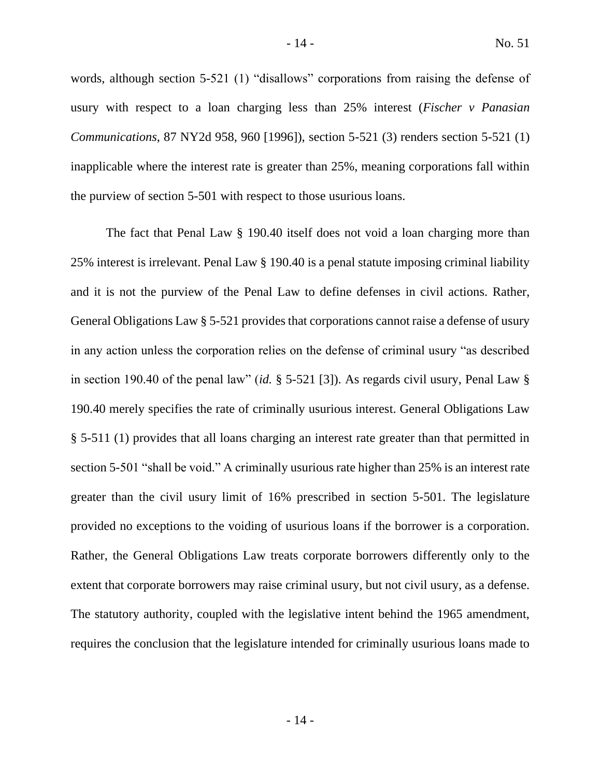words, although section 5-521 (1) "disallows" corporations from raising the defense of usury with respect to a loan charging less than 25% interest (*Fischer v Panasian Communications*, 87 NY2d 958, 960 [1996]), section 5-521 (3) renders section 5-521 (1) inapplicable where the interest rate is greater than 25%, meaning corporations fall within the purview of section 5-501 with respect to those usurious loans.

The fact that Penal Law § 190.40 itself does not void a loan charging more than 25% interest is irrelevant. Penal Law § 190.40 is a penal statute imposing criminal liability and it is not the purview of the Penal Law to define defenses in civil actions. Rather, General Obligations Law § 5-521 provides that corporations cannot raise a defense of usury in any action unless the corporation relies on the defense of criminal usury "as described in section 190.40 of the penal law" (*id.* § 5-521 [3]). As regards civil usury, Penal Law § 190.40 merely specifies the rate of criminally usurious interest. General Obligations Law § 5-511 (1) provides that all loans charging an interest rate greater than that permitted in section 5-501 "shall be void." A criminally usurious rate higher than 25% is an interest rate greater than the civil usury limit of 16% prescribed in section 5-501. The legislature provided no exceptions to the voiding of usurious loans if the borrower is a corporation. Rather, the General Obligations Law treats corporate borrowers differently only to the extent that corporate borrowers may raise criminal usury, but not civil usury, as a defense. The statutory authority, coupled with the legislative intent behind the 1965 amendment, requires the conclusion that the legislature intended for criminally usurious loans made to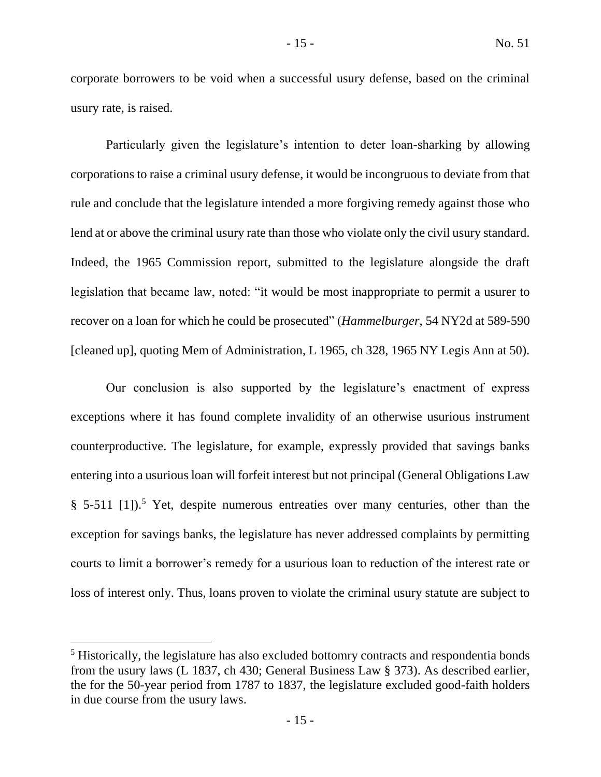corporate borrowers to be void when a successful usury defense, based on the criminal usury rate, is raised.

Particularly given the legislature's intention to deter loan-sharking by allowing corporations to raise a criminal usury defense, it would be incongruous to deviate from that rule and conclude that the legislature intended a more forgiving remedy against those who lend at or above the criminal usury rate than those who violate only the civil usury standard. Indeed, the 1965 Commission report, submitted to the legislature alongside the draft legislation that became law, noted: "it would be most inappropriate to permit a usurer to recover on a loan for which he could be prosecuted" (*Hammelburger*, 54 NY2d at 589-590 [cleaned up], quoting Mem of Administration, L 1965, ch 328, 1965 NY Legis Ann at 50).

Our conclusion is also supported by the legislature's enactment of express exceptions where it has found complete invalidity of an otherwise usurious instrument counterproductive. The legislature, for example, expressly provided that savings banks entering into a usurious loan will forfeit interest but not principal (General Obligations Law § 5-511 [1]).<sup>5</sup> Yet, despite numerous entreaties over many centuries, other than the exception for savings banks, the legislature has never addressed complaints by permitting courts to limit a borrower's remedy for a usurious loan to reduction of the interest rate or loss of interest only. Thus, loans proven to violate the criminal usury statute are subject to

<sup>&</sup>lt;sup>5</sup> Historically, the legislature has also excluded bottomry contracts and respondentia bonds from the usury laws (L 1837, ch 430; General Business Law § 373). As described earlier, the for the 50-year period from 1787 to 1837, the legislature excluded good-faith holders in due course from the usury laws.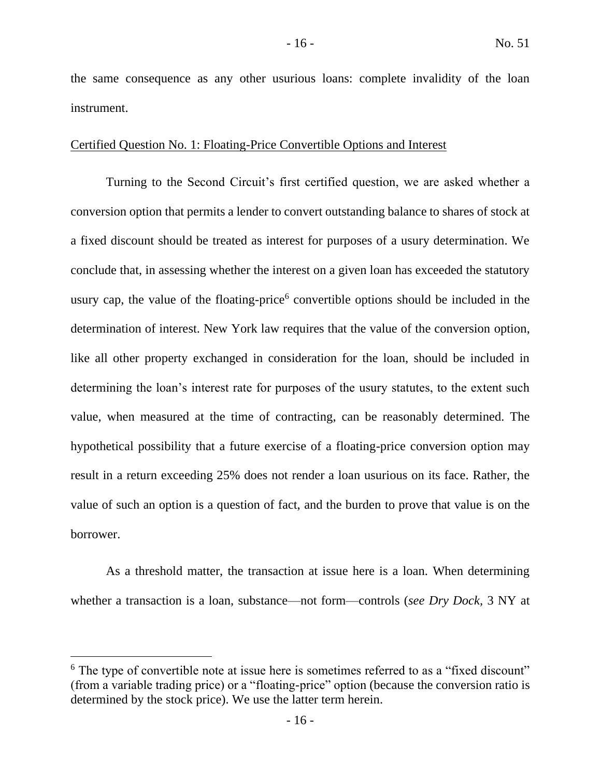the same consequence as any other usurious loans: complete invalidity of the loan instrument.

## Certified Question No. 1: Floating-Price Convertible Options and Interest

Turning to the Second Circuit's first certified question, we are asked whether a conversion option that permits a lender to convert outstanding balance to shares of stock at a fixed discount should be treated as interest for purposes of a usury determination. We conclude that, in assessing whether the interest on a given loan has exceeded the statutory usury cap, the value of the floating-price<sup>6</sup> convertible options should be included in the determination of interest. New York law requires that the value of the conversion option, like all other property exchanged in consideration for the loan, should be included in determining the loan's interest rate for purposes of the usury statutes, to the extent such value, when measured at the time of contracting, can be reasonably determined. The hypothetical possibility that a future exercise of a floating-price conversion option may result in a return exceeding 25% does not render a loan usurious on its face. Rather, the value of such an option is a question of fact, and the burden to prove that value is on the borrower.

As a threshold matter, the transaction at issue here is a loan. When determining whether a transaction is a loan, substance—not form—controls (*see Dry Dock,* 3 NY at

 $6$  The type of convertible note at issue here is sometimes referred to as a "fixed discount" (from a variable trading price) or a "floating-price" option (because the conversion ratio is determined by the stock price). We use the latter term herein.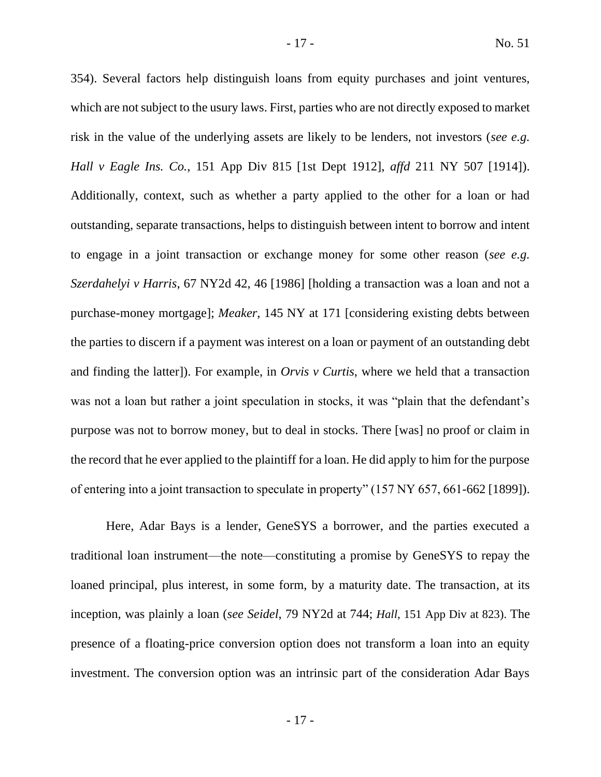354). Several factors help distinguish loans from equity purchases and joint ventures, which are not subject to the usury laws. First, parties who are not directly exposed to market risk in the value of the underlying assets are likely to be lenders, not investors (*see e.g. Hall v Eagle Ins. Co.*, 151 App Div 815 [1st Dept 1912], *affd* 211 NY 507 [1914]). Additionally, context, such as whether a party applied to the other for a loan or had outstanding, separate transactions, helps to distinguish between intent to borrow and intent to engage in a joint transaction or exchange money for some other reason (*see e.g. Szerdahelyi v Harris*, 67 NY2d 42, 46 [1986] [holding a transaction was a loan and not a purchase-money mortgage]; *Meaker*, 145 NY at 171 [considering existing debts between the parties to discern if a payment was interest on a loan or payment of an outstanding debt and finding the latter]). For example, in *Orvis v Curtis*, where we held that a transaction was not a loan but rather a joint speculation in stocks, it was "plain that the defendant's purpose was not to borrow money, but to deal in stocks. There [was] no proof or claim in the record that he ever applied to the plaintiff for a loan. He did apply to him for the purpose of entering into a joint transaction to speculate in property" (157 NY 657, 661-662 [1899]).

Here, Adar Bays is a lender, GeneSYS a borrower, and the parties executed a traditional loan instrument—the note—constituting a promise by GeneSYS to repay the loaned principal, plus interest, in some form, by a maturity date. The transaction, at its inception, was plainly a loan (*see Seidel*, 79 NY2d at 744; *Hall*, 151 App Div at 823). The presence of a floating-price conversion option does not transform a loan into an equity investment. The conversion option was an intrinsic part of the consideration Adar Bays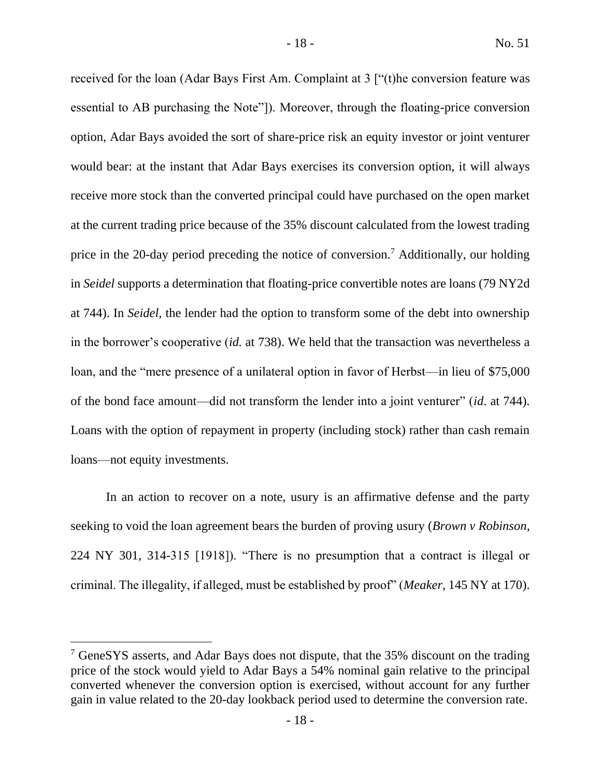received for the loan (Adar Bays First Am. Complaint at 3 ["(t)he conversion feature was essential to AB purchasing the Note"]). Moreover, through the floating-price conversion option, Adar Bays avoided the sort of share-price risk an equity investor or joint venturer would bear: at the instant that Adar Bays exercises its conversion option, it will always receive more stock than the converted principal could have purchased on the open market at the current trading price because of the 35% discount calculated from the lowest trading price in the 20-day period preceding the notice of conversion.<sup>7</sup> Additionally, our holding in *Seidel* supports a determination that floating-price convertible notes are loans (79 NY2d at 744). In *Seidel*, the lender had the option to transform some of the debt into ownership in the borrower's cooperative (*id.* at 738). We held that the transaction was nevertheless a loan, and the "mere presence of a unilateral option in favor of Herbst—in lieu of \$75,000 of the bond face amount—did not transform the lender into a joint venturer" (*id*. at 744). Loans with the option of repayment in property (including stock) rather than cash remain loans—not equity investments.

In an action to recover on a note, usury is an affirmative defense and the party seeking to void the loan agreement bears the burden of proving usury (*Brown v Robinson*, 224 NY 301, 314-315 [1918]). "There is no presumption that a contract is illegal or criminal. The illegality, if alleged, must be established by proof" (*Meaker*, 145 NY at 170).

<sup>&</sup>lt;sup>7</sup> GeneSYS asserts, and Adar Bays does not dispute, that the 35% discount on the trading price of the stock would yield to Adar Bays a 54% nominal gain relative to the principal converted whenever the conversion option is exercised, without account for any further gain in value related to the 20-day lookback period used to determine the conversion rate.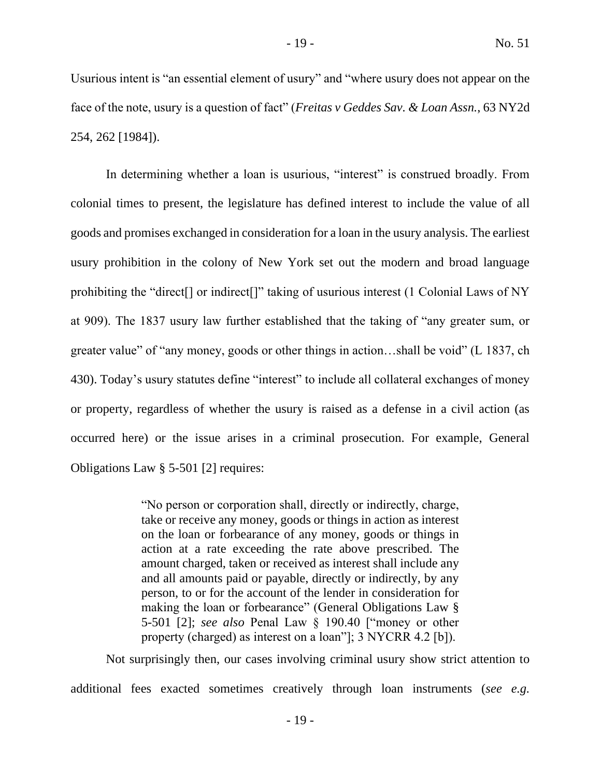Usurious intent is "an essential element of usury" and "where usury does not appear on the face of the note, usury is a question of fact" (*Freitas v Geddes Sav. & Loan Assn.*, 63 NY2d 254, 262 [1984]).

In determining whether a loan is usurious, "interest" is construed broadly. From colonial times to present, the legislature has defined interest to include the value of all goods and promises exchanged in consideration for a loan in the usury analysis. The earliest usury prohibition in the colony of New York set out the modern and broad language prohibiting the "direct[] or indirect[]" taking of usurious interest (1 Colonial Laws of NY at 909). The 1837 usury law further established that the taking of "any greater sum, or greater value" of "any money, goods or other things in action…shall be void" (L 1837, ch 430). Today's usury statutes define "interest" to include all collateral exchanges of money or property, regardless of whether the usury is raised as a defense in a civil action (as occurred here) or the issue arises in a criminal prosecution. For example, General Obligations Law § 5-501 [2] requires:

> "No person or corporation shall, directly or indirectly, charge, take or receive any money, goods or things in action as interest on the loan or forbearance of any money, goods or things in action at a rate exceeding the rate above prescribed. The amount charged, taken or received as interest shall include any and all amounts paid or payable, directly or indirectly, by any person, to or for the account of the lender in consideration for making the loan or forbearance" (General Obligations Law § 5-501 [2]; *see also* Penal Law § 190.40 ["money or other property (charged) as interest on a loan"]; 3 NYCRR 4.2 [b]).

Not surprisingly then, our cases involving criminal usury show strict attention to additional fees exacted sometimes creatively through loan instruments (*see e.g.*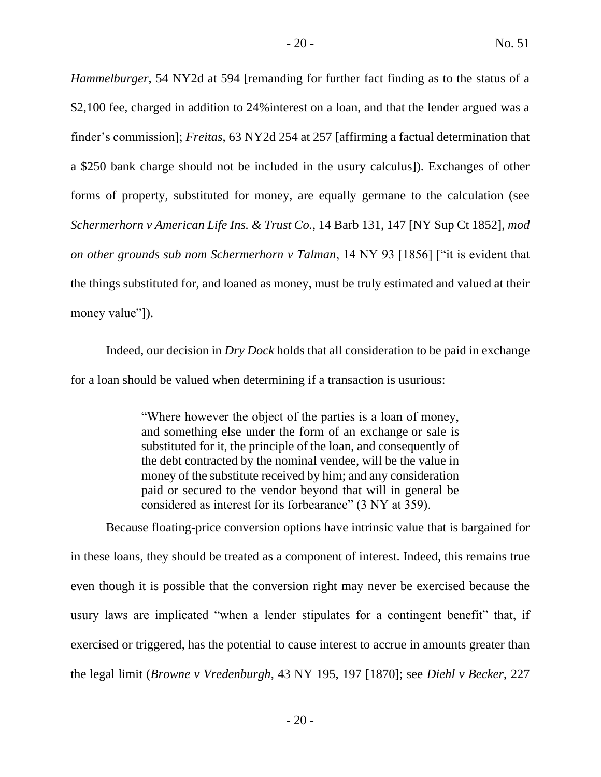*Hammelburger*, 54 NY2d at 594 [remanding for further fact finding as to the status of a \$2,100 fee, charged in addition to 24% interest on a loan, and that the lender argued was a finder's commission]; *Freitas*, 63 NY2d 254 at 257 [affirming a factual determination that a \$250 bank charge should not be included in the usury calculus]). Exchanges of other forms of property, substituted for money, are equally germane to the calculation (see *Schermerhorn v American Life Ins. & Trust Co.*, 14 Barb 131, 147 [NY Sup Ct 1852], *mod on other grounds sub nom Schermerhorn v Talman*, 14 NY 93 [1856] ["it is evident that the things substituted for, and loaned as money, must be truly estimated and valued at their money value"]).

Indeed, our decision in *Dry Dock* holds that all consideration to be paid in exchange for a loan should be valued when determining if a transaction is usurious:

> "Where however the object of the parties is a loan of money, and something else under the form of an exchange or sale is substituted for it, the principle of the loan, and consequently of the debt contracted by the nominal vendee, will be the value in money of the substitute received by him; and any consideration paid or secured to the vendor beyond that will in general be considered as interest for its forbearance" (3 NY at 359).

Because floating-price conversion options have intrinsic value that is bargained for in these loans, they should be treated as a component of interest. Indeed, this remains true even though it is possible that the conversion right may never be exercised because the usury laws are implicated "when a lender stipulates for a contingent benefit" that, if exercised or triggered, has the potential to cause interest to accrue in amounts greater than the legal limit (*Browne v Vredenburgh*, 43 NY 195, 197 [1870]; see *Diehl v Becker*, 227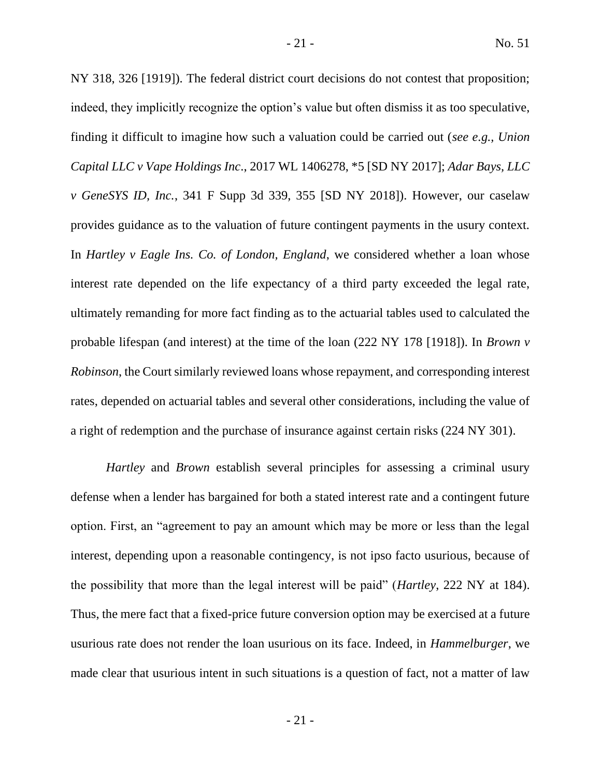NY 318, 326 [1919]). The federal district court decisions do not contest that proposition; indeed, they implicitly recognize the option's value but often dismiss it as too speculative, finding it difficult to imagine how such a valuation could be carried out (*see e.g., Union Capital LLC v Vape Holdings Inc*., 2017 WL 1406278, \*5 [SD NY 2017]; *Adar Bays, LLC v GeneSYS ID, Inc.*, 341 F Supp 3d 339, 355 [SD NY 2018]). However, our caselaw provides guidance as to the valuation of future contingent payments in the usury context. In *Hartley v Eagle Ins. Co. of London, England*, we considered whether a loan whose interest rate depended on the life expectancy of a third party exceeded the legal rate, ultimately remanding for more fact finding as to the actuarial tables used to calculated the probable lifespan (and interest) at the time of the loan (222 NY 178 [1918]). In *Brown v Robinson*, the Court similarly reviewed loans whose repayment, and corresponding interest rates, depended on actuarial tables and several other considerations, including the value of a right of redemption and the purchase of insurance against certain risks (224 NY 301).

*Hartley* and *Brown* establish several principles for assessing a criminal usury defense when a lender has bargained for both a stated interest rate and a contingent future option. First, an "agreement to pay an amount which may be more or less than the legal interest, depending upon a reasonable contingency, is not ipso facto usurious, because of the possibility that more than the legal interest will be paid" (*Hartley*, 222 NY at 184). Thus, the mere fact that a fixed-price future conversion option may be exercised at a future usurious rate does not render the loan usurious on its face. Indeed, in *Hammelburger*, we made clear that usurious intent in such situations is a question of fact, not a matter of law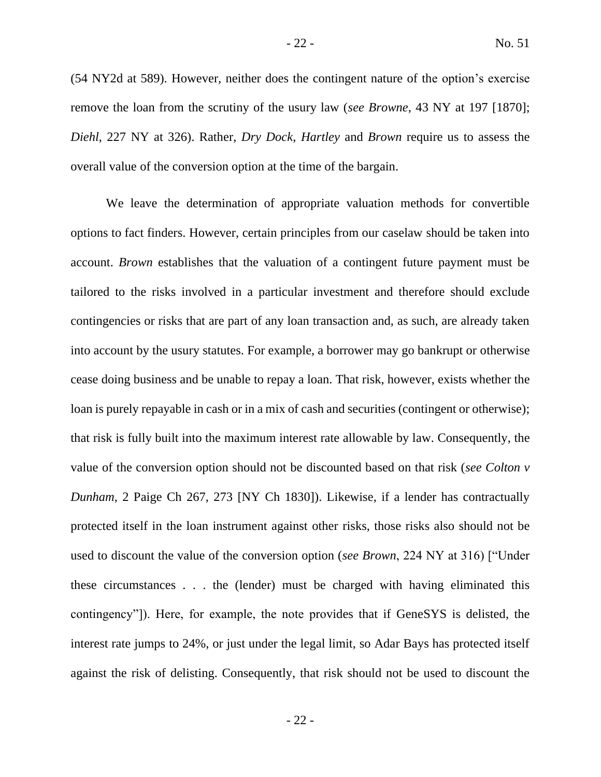(54 NY2d at 589). However, neither does the contingent nature of the option's exercise remove the loan from the scrutiny of the usury law (*see Browne*, 43 NY at 197 [1870]; *Diehl*, 227 NY at 326). Rather, *Dry Dock*, *Hartley* and *Brown* require us to assess the overall value of the conversion option at the time of the bargain.

We leave the determination of appropriate valuation methods for convertible options to fact finders. However, certain principles from our caselaw should be taken into account. *Brown* establishes that the valuation of a contingent future payment must be tailored to the risks involved in a particular investment and therefore should exclude contingencies or risks that are part of any loan transaction and, as such, are already taken into account by the usury statutes. For example, a borrower may go bankrupt or otherwise cease doing business and be unable to repay a loan. That risk, however, exists whether the loan is purely repayable in cash or in a mix of cash and securities (contingent or otherwise); that risk is fully built into the maximum interest rate allowable by law. Consequently, the value of the conversion option should not be discounted based on that risk (*see Colton v Dunham*, 2 Paige Ch 267, 273 [NY Ch 1830]). Likewise, if a lender has contractually protected itself in the loan instrument against other risks, those risks also should not be used to discount the value of the conversion option (*see Brown*, 224 NY at 316) ["Under these circumstances . . . the (lender) must be charged with having eliminated this contingency"]). Here, for example, the note provides that if GeneSYS is delisted, the interest rate jumps to 24%, or just under the legal limit, so Adar Bays has protected itself against the risk of delisting. Consequently, that risk should not be used to discount the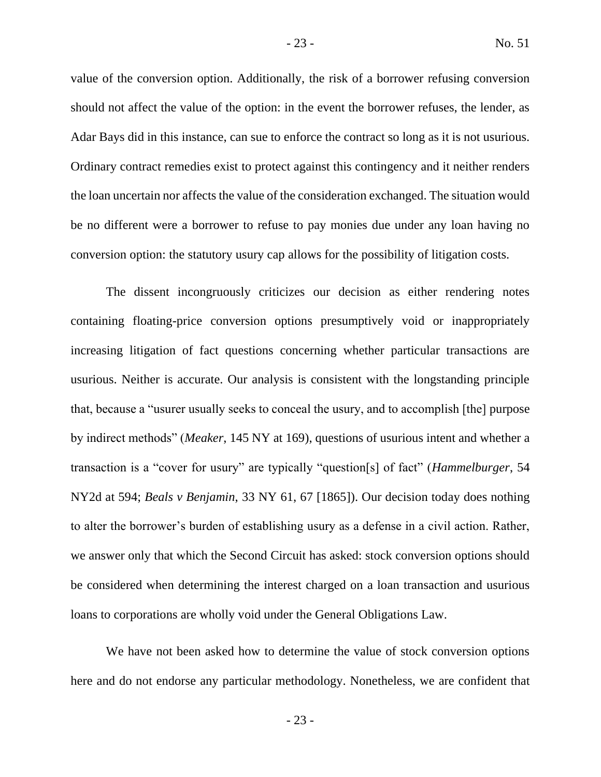value of the conversion option. Additionally, the risk of a borrower refusing conversion should not affect the value of the option: in the event the borrower refuses, the lender, as Adar Bays did in this instance, can sue to enforce the contract so long as it is not usurious. Ordinary contract remedies exist to protect against this contingency and it neither renders the loan uncertain nor affects the value of the consideration exchanged. The situation would be no different were a borrower to refuse to pay monies due under any loan having no conversion option: the statutory usury cap allows for the possibility of litigation costs.

The dissent incongruously criticizes our decision as either rendering notes containing floating-price conversion options presumptively void or inappropriately increasing litigation of fact questions concerning whether particular transactions are usurious. Neither is accurate. Our analysis is consistent with the longstanding principle that, because a "usurer usually seeks to conceal the usury, and to accomplish [the] purpose by indirect methods" (*Meaker*, 145 NY at 169), questions of usurious intent and whether a transaction is a "cover for usury" are typically "question[s] of fact" (*Hammelburger*, 54 NY2d at 594; *Beals v Benjamin*, 33 NY 61, 67 [1865]). Our decision today does nothing to alter the borrower's burden of establishing usury as a defense in a civil action. Rather, we answer only that which the Second Circuit has asked: stock conversion options should be considered when determining the interest charged on a loan transaction and usurious loans to corporations are wholly void under the General Obligations Law.

We have not been asked how to determine the value of stock conversion options here and do not endorse any particular methodology. Nonetheless, we are confident that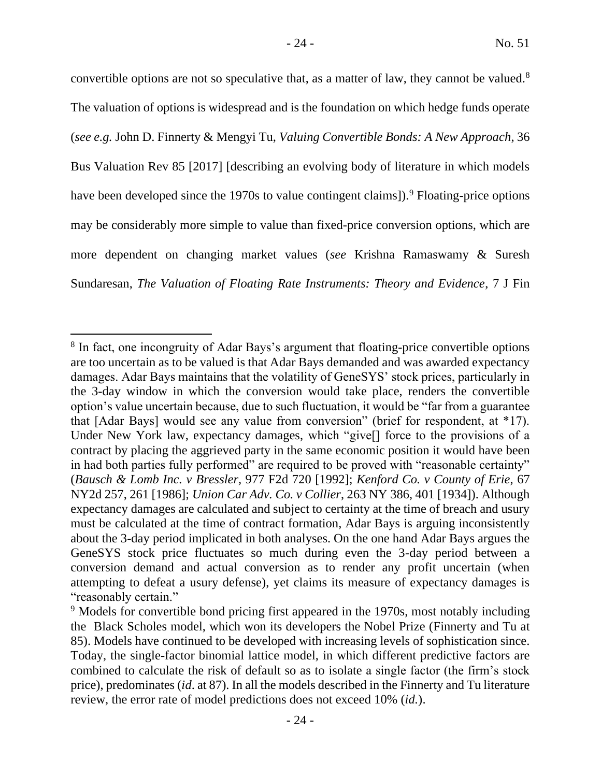convertible options are not so speculative that, as a matter of law, they cannot be valued.<sup>8</sup> The valuation of options is widespread and is the foundation on which hedge funds operate (*see e.g.* John D. Finnerty & Mengyi Tu, *Valuing Convertible Bonds: A New Approach*, 36 Bus Valuation Rev 85 [2017] [describing an evolving body of literature in which models have been developed since the 1970s to value contingent claims]).<sup>9</sup> Floating-price options may be considerably more simple to value than fixed-price conversion options, which are more dependent on changing market values (*see* Krishna Ramaswamy & Suresh Sundaresan, *The Valuation of Floating Rate Instruments: Theory and Evidence*, 7 J Fin

<sup>&</sup>lt;sup>8</sup> In fact, one incongruity of Adar Bays's argument that floating-price convertible options are too uncertain as to be valued is that Adar Bays demanded and was awarded expectancy damages. Adar Bays maintains that the volatility of GeneSYS' stock prices, particularly in the 3-day window in which the conversion would take place, renders the convertible option's value uncertain because, due to such fluctuation, it would be "far from a guarantee that [Adar Bays] would see any value from conversion" (brief for respondent, at \*17). Under New York law, expectancy damages, which "give[] force to the provisions of a contract by placing the aggrieved party in the same economic position it would have been in had both parties fully performed" are required to be proved with "reasonable certainty" (*Bausch & Lomb Inc. v Bressler,* 977 F2d 720 [1992]; *Kenford Co. v County of Erie*, 67 NY2d 257, 261 [1986]; *Union Car Adv. Co. v Collier*, 263 NY 386, 401 [1934]). Although expectancy damages are calculated and subject to certainty at the time of breach and usury must be calculated at the time of contract formation, Adar Bays is arguing inconsistently about the 3-day period implicated in both analyses. On the one hand Adar Bays argues the GeneSYS stock price fluctuates so much during even the 3-day period between a conversion demand and actual conversion as to render any profit uncertain (when attempting to defeat a usury defense), yet claims its measure of expectancy damages is "reasonably certain."

<sup>&</sup>lt;sup>9</sup> Models for convertible bond pricing first appeared in the 1970s, most notably including the Black Scholes model, which won its developers the Nobel Prize (Finnerty and Tu at 85). Models have continued to be developed with increasing levels of sophistication since. Today, the single-factor binomial lattice model, in which different predictive factors are combined to calculate the risk of default so as to isolate a single factor (the firm's stock price), predominates (*id*. at 87). In all the models described in the Finnerty and Tu literature review, the error rate of model predictions does not exceed 10% (*id.*).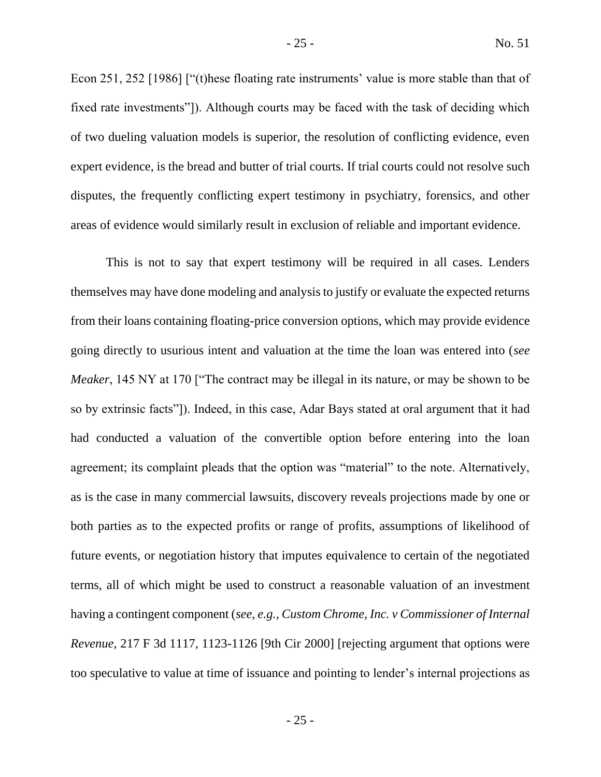Econ 251, 252 [1986] ["(t)hese floating rate instruments' value is more stable than that of fixed rate investments"]). Although courts may be faced with the task of deciding which of two dueling valuation models is superior, the resolution of conflicting evidence, even expert evidence, is the bread and butter of trial courts. If trial courts could not resolve such disputes, the frequently conflicting expert testimony in psychiatry, forensics, and other areas of evidence would similarly result in exclusion of reliable and important evidence.

This is not to say that expert testimony will be required in all cases. Lenders themselves may have done modeling and analysis to justify or evaluate the expected returns from their loans containing floating-price conversion options, which may provide evidence going directly to usurious intent and valuation at the time the loan was entered into (*see Meaker*, 145 NY at 170 ["The contract may be illegal in its nature, or may be shown to be so by extrinsic facts"]). Indeed, in this case, Adar Bays stated at oral argument that it had had conducted a valuation of the convertible option before entering into the loan agreement; its complaint pleads that the option was "material" to the note. Alternatively, as is the case in many commercial lawsuits, discovery reveals projections made by one or both parties as to the expected profits or range of profits, assumptions of likelihood of future events, or negotiation history that imputes equivalence to certain of the negotiated terms, all of which might be used to construct a reasonable valuation of an investment having a contingent component (*see, e.g., Custom Chrome, Inc. v Commissioner of Internal Revenue*, 217 F 3d 1117, 1123-1126 [9th Cir 2000] [rejecting argument that options were too speculative to value at time of issuance and pointing to lender's internal projections as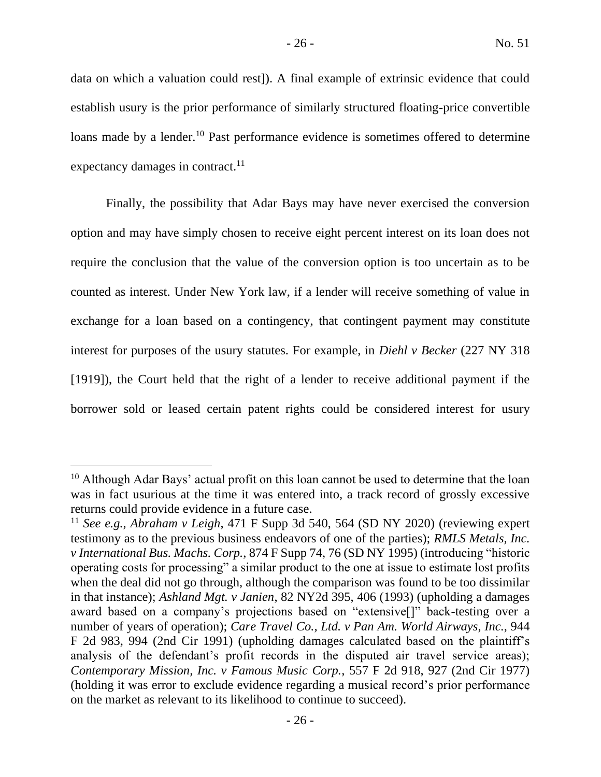data on which a valuation could rest]). A final example of extrinsic evidence that could establish usury is the prior performance of similarly structured floating-price convertible loans made by a lender.<sup>10</sup> Past performance evidence is sometimes offered to determine expectancy damages in contract.<sup>11</sup>

Finally, the possibility that Adar Bays may have never exercised the conversion option and may have simply chosen to receive eight percent interest on its loan does not require the conclusion that the value of the conversion option is too uncertain as to be counted as interest. Under New York law, if a lender will receive something of value in exchange for a loan based on a contingency, that contingent payment may constitute interest for purposes of the usury statutes. For example, in *Diehl v Becker* (227 NY 318 [1919]), the Court held that the right of a lender to receive additional payment if the borrower sold or leased certain patent rights could be considered interest for usury

 $10$  Although Adar Bays' actual profit on this loan cannot be used to determine that the loan was in fact usurious at the time it was entered into, a track record of grossly excessive returns could provide evidence in a future case.

<sup>11</sup> *See e.g., Abraham v Leigh*, 471 F Supp 3d 540, 564 (SD NY 2020) (reviewing expert testimony as to the previous business endeavors of one of the parties); *RMLS Metals, Inc. v International Bus. Machs. Corp.*, 874 F Supp 74, 76 (SD NY 1995) (introducing "historic operating costs for processing" a similar product to the one at issue to estimate lost profits when the deal did not go through, although the comparison was found to be too dissimilar in that instance); *Ashland Mgt. v Janien*, 82 NY2d 395, 406 (1993) (upholding a damages award based on a company's projections based on "extensive[]" back-testing over a number of years of operation); *Care Travel Co., Ltd. v Pan Am. World Airways*, *Inc.*, 944 F 2d 983, 994 (2nd Cir 1991) (upholding damages calculated based on the plaintiff's analysis of the defendant's profit records in the disputed air travel service areas); *Contemporary Mission, Inc. v Famous Music Corp.*, 557 F 2d 918, 927 (2nd Cir 1977) (holding it was error to exclude evidence regarding a musical record's prior performance on the market as relevant to its likelihood to continue to succeed).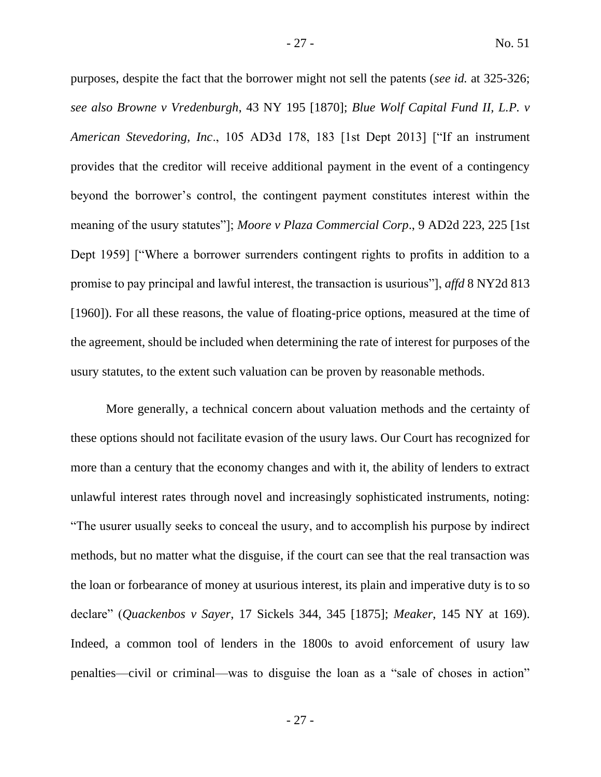purposes, despite the fact that the borrower might not sell the patents (*see id.* at 325-326; *see also Browne v Vredenburgh*, 43 NY 195 [1870]; *Blue Wolf Capital Fund II, L.P. v American Stevedoring, Inc*., 105 AD3d 178, 183 [1st Dept 2013] ["If an instrument provides that the creditor will receive additional payment in the event of a contingency beyond the borrower's control, the contingent payment constitutes interest within the meaning of the usury statutes"]; *Moore v Plaza Commercial Corp*., 9 AD2d 223, 225 [1st Dept 1959] ["Where a borrower surrenders contingent rights to profits in addition to a promise to pay principal and lawful interest, the transaction is usurious"], *affd* 8 NY2d 813 [1960]). For all these reasons, the value of floating-price options, measured at the time of the agreement, should be included when determining the rate of interest for purposes of the usury statutes, to the extent such valuation can be proven by reasonable methods.

More generally, a technical concern about valuation methods and the certainty of these options should not facilitate evasion of the usury laws. Our Court has recognized for more than a century that the economy changes and with it, the ability of lenders to extract unlawful interest rates through novel and increasingly sophisticated instruments, noting: "The usurer usually seeks to conceal the usury, and to accomplish his purpose by indirect methods, but no matter what the disguise, if the court can see that the real transaction was the loan or forbearance of money at usurious interest, its plain and imperative duty is to so declare" (*Quackenbos v Sayer*, 17 Sickels 344, 345 [1875]; *Meaker*, 145 NY at 169). Indeed, a common tool of lenders in the 1800s to avoid enforcement of usury law penalties—civil or criminal—was to disguise the loan as a "sale of choses in action"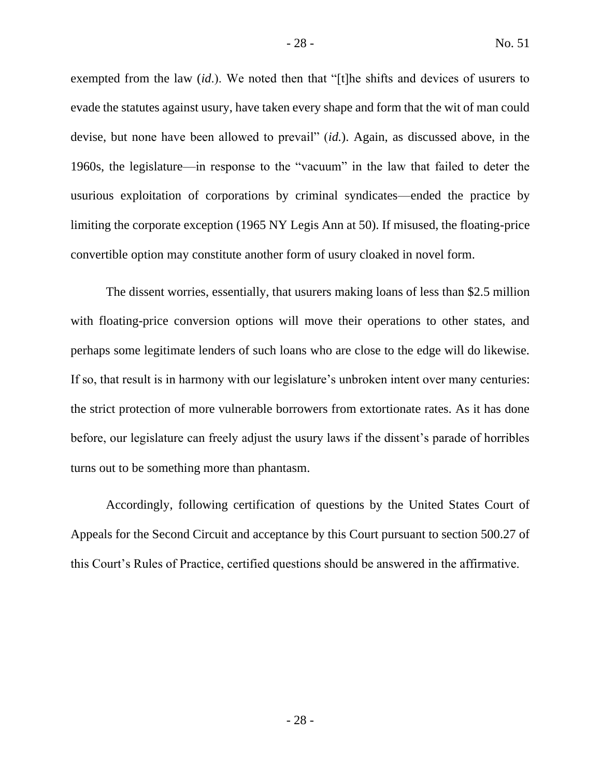exempted from the law (*id*.). We noted then that "[t]he shifts and devices of usurers to evade the statutes against usury, have taken every shape and form that the wit of man could devise, but none have been allowed to prevail" (*id.*). Again, as discussed above, in the 1960s, the legislature—in response to the "vacuum" in the law that failed to deter the usurious exploitation of corporations by criminal syndicates—ended the practice by limiting the corporate exception (1965 NY Legis Ann at 50). If misused, the floating-price convertible option may constitute another form of usury cloaked in novel form.

The dissent worries, essentially, that usurers making loans of less than \$2.5 million with floating-price conversion options will move their operations to other states, and perhaps some legitimate lenders of such loans who are close to the edge will do likewise. If so, that result is in harmony with our legislature's unbroken intent over many centuries: the strict protection of more vulnerable borrowers from extortionate rates. As it has done before, our legislature can freely adjust the usury laws if the dissent's parade of horribles turns out to be something more than phantasm.

Accordingly, following certification of questions by the United States Court of Appeals for the Second Circuit and acceptance by this Court pursuant to section 500.27 of this Court's Rules of Practice, certified questions should be answered in the affirmative.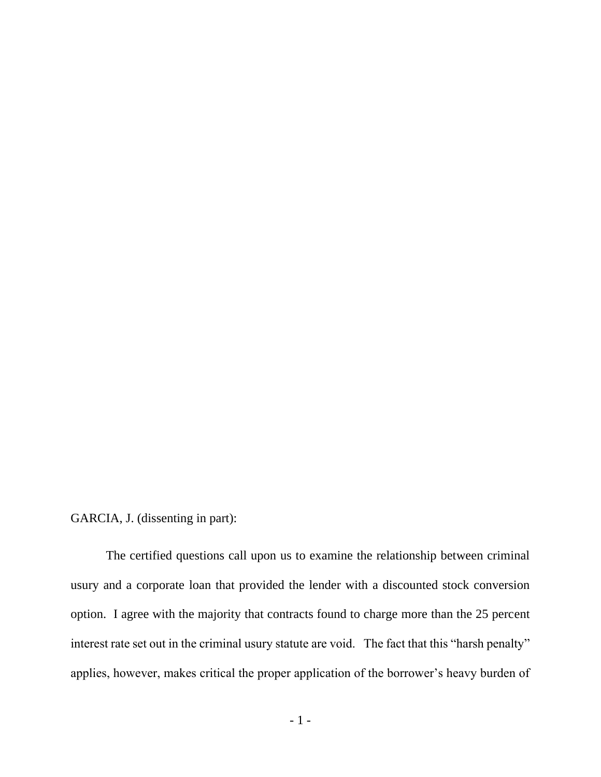GARCIA, J. (dissenting in part):

The certified questions call upon us to examine the relationship between criminal usury and a corporate loan that provided the lender with a discounted stock conversion option. I agree with the majority that contracts found to charge more than the 25 percent interest rate set out in the criminal usury statute are void. The fact that this "harsh penalty" applies, however, makes critical the proper application of the borrower's heavy burden of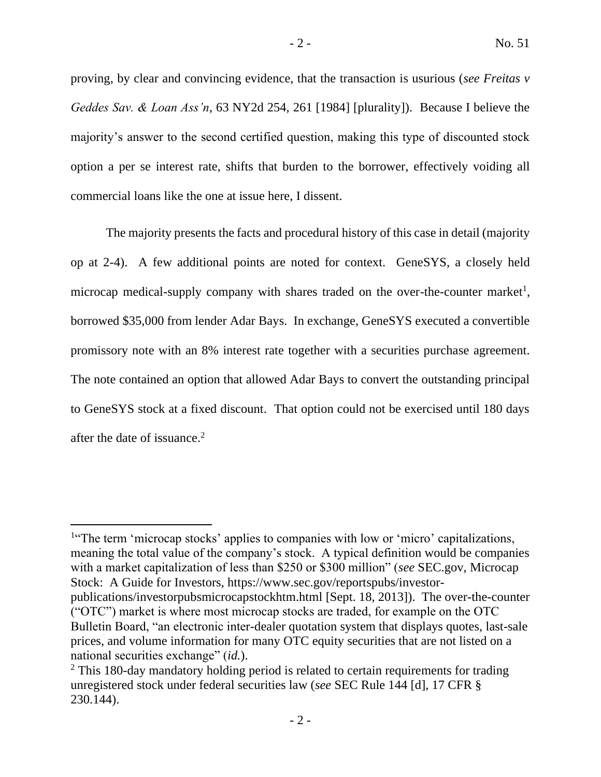proving, by clear and convincing evidence, that the transaction is usurious (*see Freitas v Geddes Sav. & Loan Ass'n*, 63 NY2d 254, 261 [1984] [plurality]). Because I believe the majority's answer to the second certified question, making this type of discounted stock option a per se interest rate, shifts that burden to the borrower, effectively voiding all commercial loans like the one at issue here, I dissent.

The majority presents the facts and procedural history of this case in detail (majority op at 2-4). A few additional points are noted for context. GeneSYS, a closely held microcap medical-supply company with shares traded on the over-the-counter market<sup>1</sup>, borrowed \$35,000 from lender Adar Bays. In exchange, GeneSYS executed a convertible promissory note with an 8% interest rate together with a securities purchase agreement. The note contained an option that allowed Adar Bays to convert the outstanding principal to GeneSYS stock at a fixed discount. That option could not be exercised until 180 days after the date of issuance.<sup>2</sup>

<sup>&</sup>lt;sup>1</sup>"The term 'microcap stocks' applies to companies with low or 'micro' capitalizations, meaning the total value of the company's stock. A typical definition would be companies with a market capitalization of less than \$250 or \$300 million" (*see* SEC.gov, Microcap Stock: A Guide for Investors, https://www.sec.gov/reportspubs/investor-

publications/investorpubsmicrocapstockhtm.html [Sept. 18, 2013]). The over-the-counter ("OTC") market is where most microcap stocks are traded, for example on the OTC Bulletin Board, "an electronic inter-dealer quotation system that displays quotes, last-sale prices, and volume information for many OTC equity securities that are not listed on a national securities exchange" (*id.*).

<sup>&</sup>lt;sup>2</sup> This 180-day mandatory holding period is related to certain requirements for trading unregistered stock under federal securities law (*see* SEC Rule 144 [d], 17 CFR § 230.144).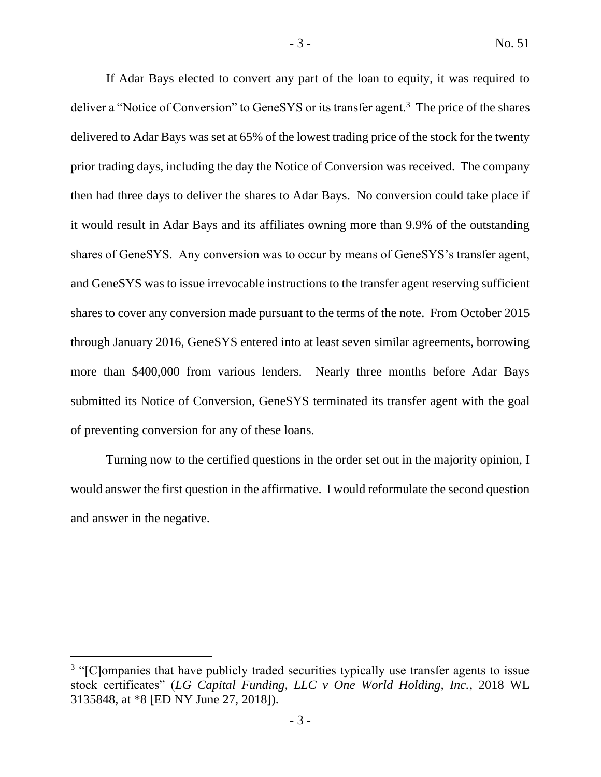If Adar Bays elected to convert any part of the loan to equity, it was required to deliver a "Notice of Conversion" to GeneSYS or its transfer agent.<sup>3</sup> The price of the shares delivered to Adar Bays was set at 65% of the lowest trading price of the stock for the twenty prior trading days, including the day the Notice of Conversion was received. The company then had three days to deliver the shares to Adar Bays. No conversion could take place if it would result in Adar Bays and its affiliates owning more than 9.9% of the outstanding shares of GeneSYS. Any conversion was to occur by means of GeneSYS's transfer agent, and GeneSYS was to issue irrevocable instructions to the transfer agent reserving sufficient shares to cover any conversion made pursuant to the terms of the note. From October 2015 through January 2016, GeneSYS entered into at least seven similar agreements, borrowing more than \$400,000 from various lenders. Nearly three months before Adar Bays submitted its Notice of Conversion, GeneSYS terminated its transfer agent with the goal of preventing conversion for any of these loans.

Turning now to the certified questions in the order set out in the majority opinion, I would answer the first question in the affirmative. I would reformulate the second question and answer in the negative.

<sup>&</sup>lt;sup>3</sup> "[C]ompanies that have publicly traded securities typically use transfer agents to issue stock certificates" (*LG Capital Funding, LLC v One World Holding, Inc.*, 2018 WL 3135848, at \*8 [ED NY June 27, 2018]).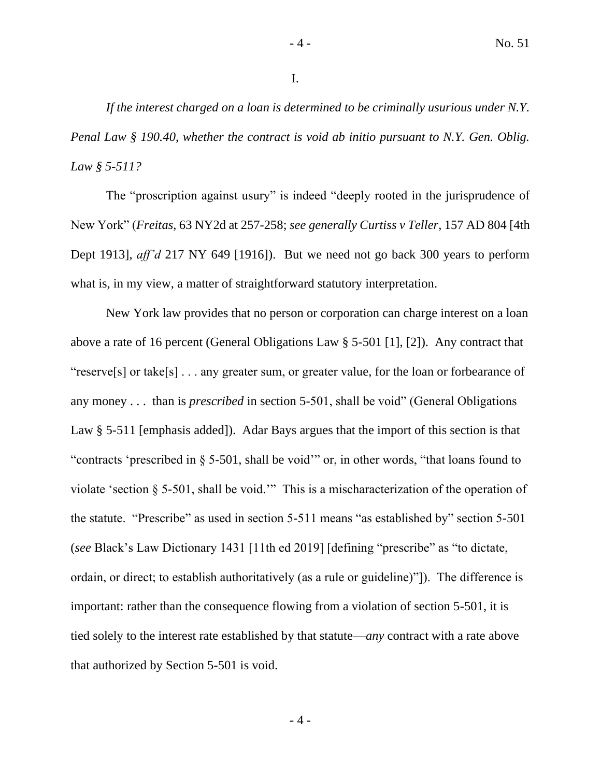*If the interest charged on a loan is determined to be criminally usurious under N.Y. Penal Law § 190.40, whether the contract is void ab initio pursuant to N.Y. Gen. Oblig. Law § 5-511?*

The "proscription against usury" is indeed "deeply rooted in the jurisprudence of New York" (*Freitas*, 63 NY2d at 257-258; *see generally Curtiss v Teller*, 157 AD 804 [4th Dept 1913], *aff'd* 217 NY 649 [1916]). But we need not go back 300 years to perform what is, in my view, a matter of straightforward statutory interpretation.

New York law provides that no person or corporation can charge interest on a loan above a rate of 16 percent (General Obligations Law § 5-501 [1], [2]). Any contract that "reserve[s] or take[s] . . . any greater sum, or greater value, for the loan or forbearance of any money . . . than is *prescribed* in section 5-501, shall be void" (General Obligations Law § 5-511 [emphasis added]). Adar Bays argues that the import of this section is that "contracts 'prescribed in § 5-501, shall be void'" or, in other words, "that loans found to violate 'section § 5-501, shall be void.'" This is a mischaracterization of the operation of the statute. "Prescribe" as used in section 5-511 means "as established by" section 5-501 (*see* Black's Law Dictionary 1431 [11th ed 2019] [defining "prescribe" as "to dictate, ordain, or direct; to establish authoritatively (as a rule or guideline)"]). The difference is important: rather than the consequence flowing from a violation of section 5-501, it is tied solely to the interest rate established by that statute—*any* contract with a rate above that authorized by Section 5-501 is void.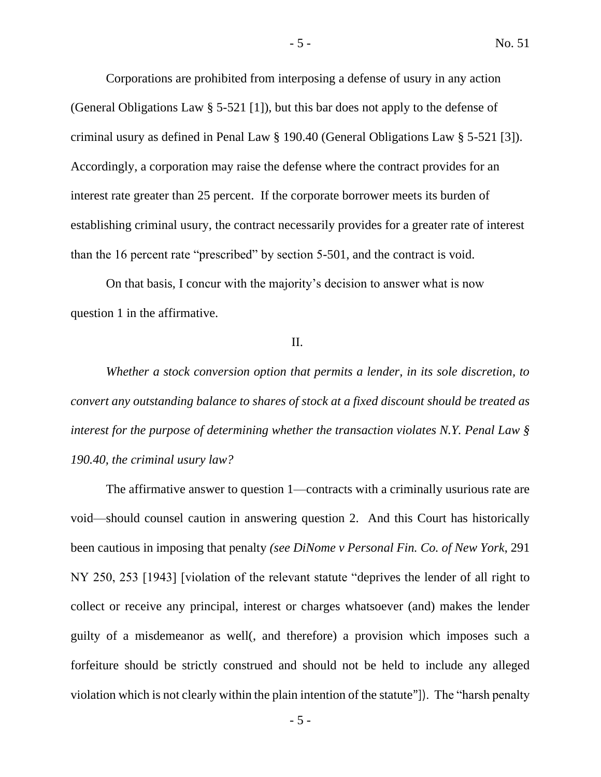Corporations are prohibited from interposing a defense of usury in any action (General Obligations Law § 5-521 [1]), but this bar does not apply to the defense of criminal usury as defined in Penal Law § 190.40 (General Obligations Law § 5-521 [3]). Accordingly, a corporation may raise the defense where the contract provides for an interest rate greater than 25 percent. If the corporate borrower meets its burden of establishing criminal usury, the contract necessarily provides for a greater rate of interest than the 16 percent rate "prescribed" by section 5-501, and the contract is void.

On that basis, I concur with the majority's decision to answer what is now question 1 in the affirmative.

#### II.

*Whether a stock conversion option that permits a lender, in its sole discretion, to convert any outstanding balance to shares of stock at a fixed discount should be treated as interest for the purpose of determining whether the transaction violates N.Y. Penal Law § 190.40, the criminal usury law?*

The affirmative answer to question 1—contracts with a criminally usurious rate are void—should counsel caution in answering question 2. And this Court has historically been cautious in imposing that penalty *(see DiNome v Personal Fin. Co. of New York*, 291 NY 250, 253 [1943] [violation of the relevant statute "deprives the lender of all right to collect or receive any principal, interest or charges whatsoever (and) makes the lender guilty of a misdemeanor as well(, and therefore) a provision which imposes such a forfeiture should be strictly construed and should not be held to include any alleged violation which is not clearly within the plain intention of the statute"]). The "harsh penalty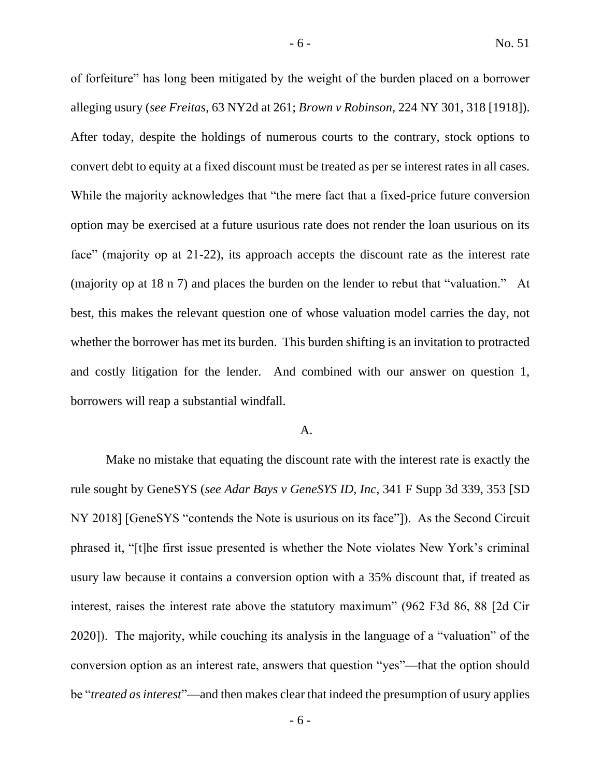of forfeiture" has long been mitigated by the weight of the burden placed on a borrower alleging usury (*see Freitas*, 63 NY2d at 261; *Brown v Robinson*, 224 NY 301, 318 [1918]). After today, despite the holdings of numerous courts to the contrary, stock options to convert debt to equity at a fixed discount must be treated as per se interest rates in all cases. While the majority acknowledges that "the mere fact that a fixed-price future conversion option may be exercised at a future usurious rate does not render the loan usurious on its face" (majority op at 21-22), its approach accepts the discount rate as the interest rate (majority op at 18 n 7) and places the burden on the lender to rebut that "valuation." At best, this makes the relevant question one of whose valuation model carries the day, not whether the borrower has met its burden. This burden shifting is an invitation to protracted and costly litigation for the lender. And combined with our answer on question 1, borrowers will reap a substantial windfall.

### A.

Make no mistake that equating the discount rate with the interest rate is exactly the rule sought by GeneSYS (*see Adar Bays v GeneSYS ID, Inc*, 341 F Supp 3d 339, 353 [SD NY 2018] [GeneSYS "contends the Note is usurious on its face"]). As the Second Circuit phrased it, "[t]he first issue presented is whether the Note violates New York's criminal usury law because it contains a conversion option with a 35% discount that, if treated as interest, raises the interest rate above the statutory maximum" (962 F3d 86, 88 [2d Cir 2020]). The majority, while couching its analysis in the language of a "valuation" of the conversion option as an interest rate, answers that question "yes"—that the option should be "*treated as interest*"—and then makes clear that indeed the presumption of usury applies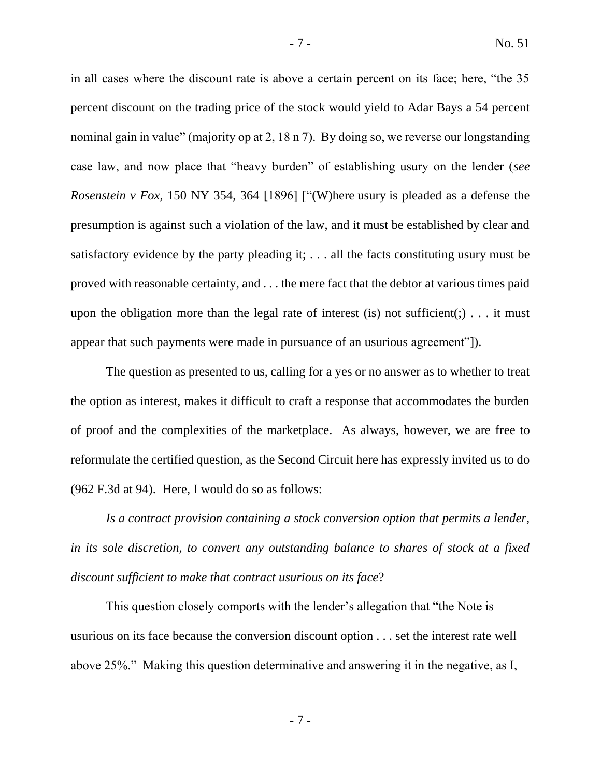in all cases where the discount rate is above a certain percent on its face; here, "the 35 percent discount on the trading price of the stock would yield to Adar Bays a 54 percent nominal gain in value" (majority op at 2, 18 n 7). By doing so, we reverse our longstanding case law, and now place that "heavy burden" of establishing usury on the lender (*see Rosenstein v Fox*, 150 NY 354, 364 [1896] ["(W)here usury is pleaded as a defense the presumption is against such a violation of the law, and it must be established by clear and satisfactory evidence by the party pleading it; . . . all the facts constituting usury must be proved with reasonable certainty, and . . . the mere fact that the debtor at various times paid upon the obligation more than the legal rate of interest (is) not sufficient(;)... it must appear that such payments were made in pursuance of an usurious agreement"]).

The question as presented to us, calling for a yes or no answer as to whether to treat the option as interest, makes it difficult to craft a response that accommodates the burden of proof and the complexities of the marketplace. As always, however, we are free to reformulate the certified question, as the Second Circuit here has expressly invited us to do (962 F.3d at 94). Here, I would do so as follows:

*Is a contract provision containing a stock conversion option that permits a lender, in its sole discretion, to convert any outstanding balance to shares of stock at a fixed discount sufficient to make that contract usurious on its face*?

This question closely comports with the lender's allegation that "the Note is usurious on its face because the conversion discount option . . . set the interest rate well above 25%." Making this question determinative and answering it in the negative, as I,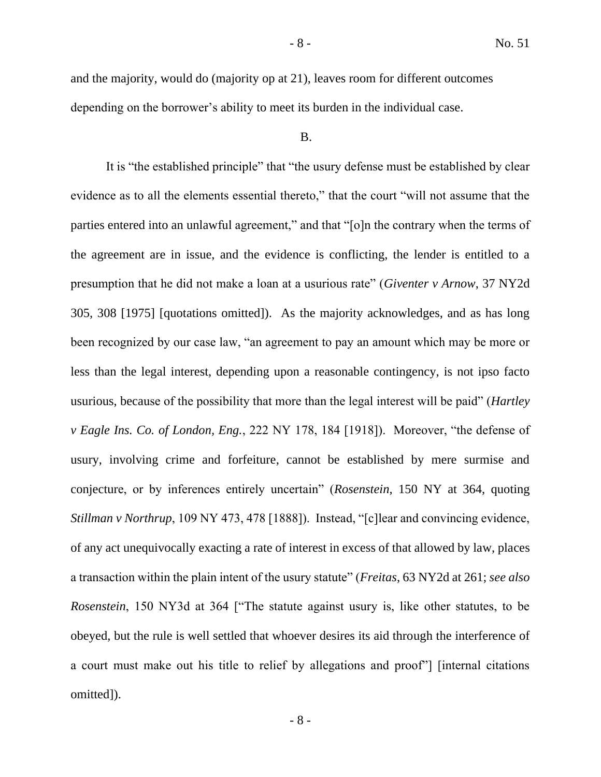and the majority, would do (majority op at 21), leaves room for different outcomes depending on the borrower's ability to meet its burden in the individual case.

#### B.

It is "the established principle" that "the usury defense must be established by clear evidence as to all the elements essential thereto," that the court "will not assume that the parties entered into an unlawful agreement," and that "[o]n the contrary when the terms of the agreement are in issue, and the evidence is conflicting, the lender is entitled to a presumption that he did not make a loan at a usurious rate" (*Giventer v Arnow*, 37 NY2d 305, 308 [1975] [quotations omitted]). As the majority acknowledges, and as has long been recognized by our case law, "an agreement to pay an amount which may be more or less than the legal interest, depending upon a reasonable contingency, is not ipso facto usurious, because of the possibility that more than the legal interest will be paid" (*Hartley v Eagle Ins. Co. of London, Eng.*, 222 NY 178, 184 [1918]). Moreover, "the defense of usury, involving crime and forfeiture, cannot be established by mere surmise and conjecture, or by inferences entirely uncertain" (*Rosenstein*, 150 NY at 364, quoting *Stillman v Northrup*, 109 NY 473, 478 [1888]). Instead, "[c]lear and convincing evidence, of any act unequivocally exacting a rate of interest in excess of that allowed by law, places a transaction within the plain intent of the usury statute" (*Freitas*, 63 NY2d at 261; *see also Rosenstein*, 150 NY3d at 364 ["The statute against usury is, like other statutes, to be obeyed, but the rule is well settled that whoever desires its aid through the interference of a court must make out his title to relief by allegations and proof"] [internal citations omitted]).

- 8 -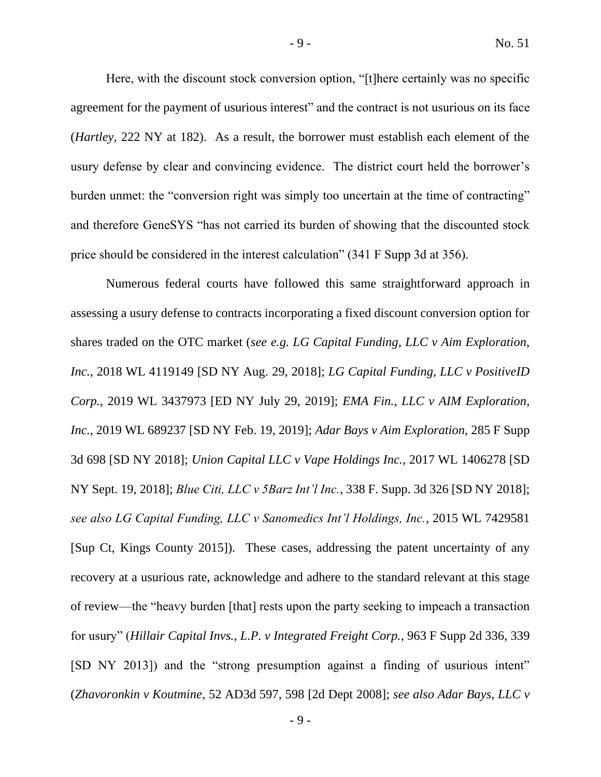Here, with the discount stock conversion option, "[t]here certainly was no specific agreement for the payment of usurious interest" and the contract is not usurious on its face (*Hartley*, 222 NY at 182). As a result, the borrower must establish each element of the usury defense by clear and convincing evidence. The district court held the borrower's burden unmet: the "conversion right was simply too uncertain at the time of contracting" and therefore GeneSYS "has not carried its burden of showing that the discounted stock price should be considered in the interest calculation" (341 F Supp 3d at 356).

Numerous federal courts have followed this same straightforward approach in assessing a usury defense to contracts incorporating a fixed discount conversion option for shares traded on the OTC market (*see e.g. LG Capital Funding, LLC v Aim Exploration, Inc.*, 2018 WL 4119149 [SD NY Aug. 29, 2018]; *LG Capital Funding, LLC v PositiveID Corp.*, 2019 WL 3437973 [ED NY July 29, 2019]; *EMA Fin., LLC v AIM Exploration, Inc.*, 2019 WL 689237 [SD NY Feb. 19, 2019]; *Adar Bays v Aim Exploration*, 285 F Supp 3d 698 [SD NY 2018]; *Union Capital LLC v Vape Holdings Inc.*, 2017 WL 1406278 [SD NY Sept. 19, 2018]; *Blue Citi, LLC v 5Barz Int'l Inc.*, 338 F. Supp. 3d 326 [SD NY 2018]; *see also LG Capital Funding, LLC v Sanomedics Int'l Holdings, Inc.*, 2015 WL 7429581 [Sup Ct, Kings County 2015]). These cases, addressing the patent uncertainty of any recovery at a usurious rate, acknowledge and adhere to the standard relevant at this stage of review—the "heavy burden [that] rests upon the party seeking to impeach a transaction for usury" (*Hillair Capital Invs., L.P. v Integrated Freight Corp.*, 963 F Supp 2d 336, 339 [SD NY 2013]) and the "strong presumption against a finding of usurious intent" (*Zhavoronkin v Koutmine*, 52 AD3d 597, 598 [2d Dept 2008]; *see also Adar Bays, LLC v*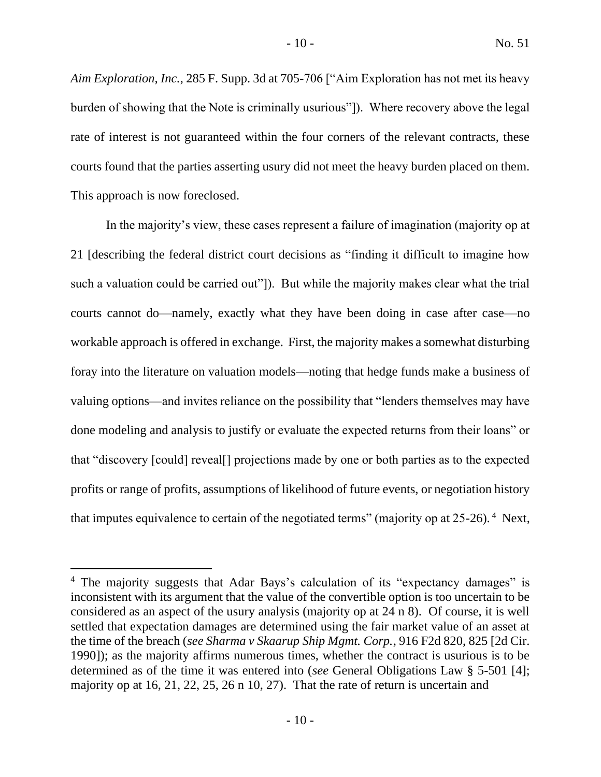*Aim Exploration, Inc.*, 285 F. Supp. 3d at 705-706 ["Aim Exploration has not met its heavy burden of showing that the Note is criminally usurious"]). Where recovery above the legal rate of interest is not guaranteed within the four corners of the relevant contracts, these courts found that the parties asserting usury did not meet the heavy burden placed on them. This approach is now foreclosed.

In the majority's view, these cases represent a failure of imagination (majority op at 21 [describing the federal district court decisions as "finding it difficult to imagine how such a valuation could be carried out"]). But while the majority makes clear what the trial courts cannot do—namely, exactly what they have been doing in case after case—no workable approach is offered in exchange. First, the majority makes a somewhat disturbing foray into the literature on valuation models—noting that hedge funds make a business of valuing options—and invites reliance on the possibility that "lenders themselves may have done modeling and analysis to justify or evaluate the expected returns from their loans" or that "discovery [could] reveal[] projections made by one or both parties as to the expected profits or range of profits, assumptions of likelihood of future events, or negotiation history that imputes equivalence to certain of the negotiated terms" (majority op at  $25{\text -}26$ ). <sup>4</sup> Next,

<sup>&</sup>lt;sup>4</sup> The majority suggests that Adar Bays's calculation of its "expectancy damages" is inconsistent with its argument that the value of the convertible option is too uncertain to be considered as an aspect of the usury analysis (majority op at 24 n 8). Of course, it is well settled that expectation damages are determined using the fair market value of an asset at the time of the breach (*see Sharma v Skaarup Ship Mgmt. Corp.*, 916 F2d 820, 825 [2d Cir. 1990]); as the majority affirms numerous times, whether the contract is usurious is to be determined as of the time it was entered into (*see* General Obligations Law § 5-501 [4]; majority op at 16, 21, 22, 25, 26 n 10, 27). That the rate of return is uncertain and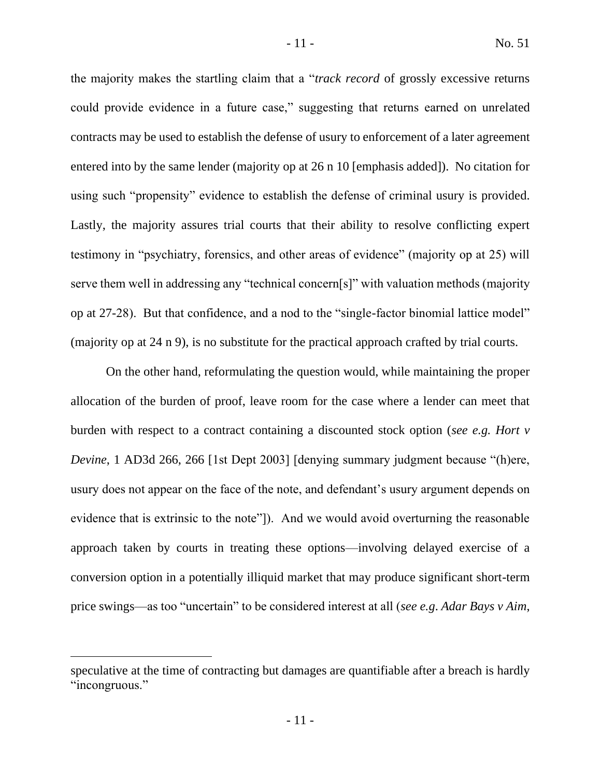the majority makes the startling claim that a "*track record* of grossly excessive returns could provide evidence in a future case," suggesting that returns earned on unrelated contracts may be used to establish the defense of usury to enforcement of a later agreement entered into by the same lender (majority op at 26 n 10 [emphasis added]). No citation for using such "propensity" evidence to establish the defense of criminal usury is provided. Lastly, the majority assures trial courts that their ability to resolve conflicting expert testimony in "psychiatry, forensics, and other areas of evidence" (majority op at 25) will serve them well in addressing any "technical concern[s]" with valuation methods (majority op at 27-28). But that confidence, and a nod to the "single-factor binomial lattice model" (majority op at 24 n 9), is no substitute for the practical approach crafted by trial courts.

On the other hand, reformulating the question would, while maintaining the proper allocation of the burden of proof, leave room for the case where a lender can meet that burden with respect to a contract containing a discounted stock option (*see e.g. Hort v Devine*, 1 AD3d 266, 266 [1st Dept 2003] [denying summary judgment because "(h)ere, usury does not appear on the face of the note, and defendant's usury argument depends on evidence that is extrinsic to the note"]). And we would avoid overturning the reasonable approach taken by courts in treating these options—involving delayed exercise of a conversion option in a potentially illiquid market that may produce significant short-term price swings—as too "uncertain" to be considered interest at all (*see e.g*. *Adar Bays v Aim*,

speculative at the time of contracting but damages are quantifiable after a breach is hardly "incongruous."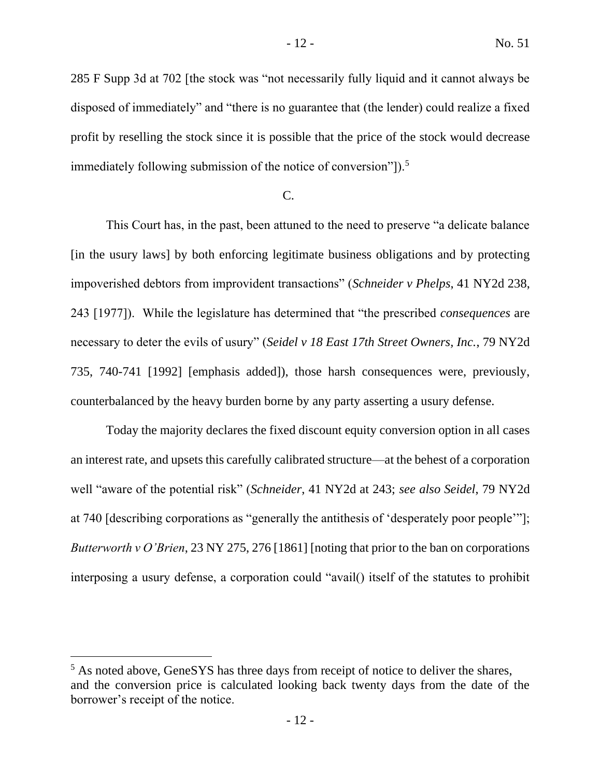285 F Supp 3d at 702 [the stock was "not necessarily fully liquid and it cannot always be disposed of immediately" and "there is no guarantee that (the lender) could realize a fixed profit by reselling the stock since it is possible that the price of the stock would decrease immediately following submission of the notice of conversion"]).<sup>5</sup>

# C.

This Court has, in the past, been attuned to the need to preserve "a delicate balance [in the usury laws] by both enforcing legitimate business obligations and by protecting impoverished debtors from improvident transactions" (*Schneider v Phelps*, 41 NY2d 238, 243 [1977]). While the legislature has determined that "the prescribed *consequences* are necessary to deter the evils of usury" (*Seidel v 18 East 17th Street Owners, Inc.*, 79 NY2d 735, 740-741 [1992] [emphasis added]), those harsh consequences were, previously, counterbalanced by the heavy burden borne by any party asserting a usury defense.

Today the majority declares the fixed discount equity conversion option in all cases an interest rate, and upsets this carefully calibrated structure—at the behest of a corporation well "aware of the potential risk" (*Schneider*, 41 NY2d at 243; *see also Seidel*, 79 NY2d at 740 [describing corporations as "generally the antithesis of 'desperately poor people'"]; *Butterworth v O'Brien*, 23 NY 275, 276 [1861] [noting that prior to the ban on corporations interposing a usury defense, a corporation could "avail() itself of the statutes to prohibit

<sup>&</sup>lt;sup>5</sup> As noted above, GeneSYS has three days from receipt of notice to deliver the shares, and the conversion price is calculated looking back twenty days from the date of the borrower's receipt of the notice.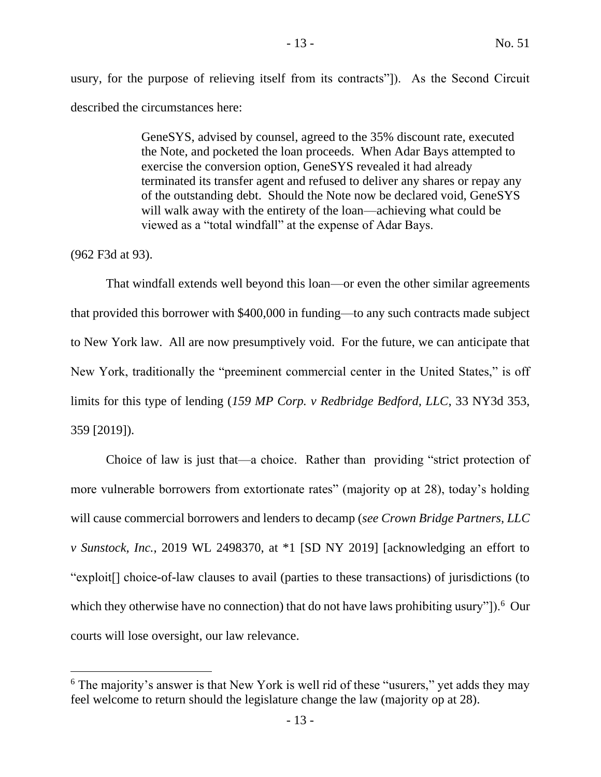usury, for the purpose of relieving itself from its contracts"]). As the Second Circuit described the circumstances here:

> GeneSYS, advised by counsel, agreed to the 35% discount rate, executed the Note, and pocketed the loan proceeds. When Adar Bays attempted to exercise the conversion option, GeneSYS revealed it had already terminated its transfer agent and refused to deliver any shares or repay any of the outstanding debt. Should the Note now be declared void, GeneSYS will walk away with the entirety of the loan—achieving what could be viewed as a "total windfall" at the expense of Adar Bays.

(962 F3d at 93).

That windfall extends well beyond this loan—or even the other similar agreements that provided this borrower with \$400,000 in funding—to any such contracts made subject to New York law. All are now presumptively void. For the future, we can anticipate that New York, traditionally the "preeminent commercial center in the United States," is off limits for this type of lending (*159 MP Corp. v Redbridge Bedford, LLC*, 33 NY3d 353, 359 [2019]).

Choice of law is just that—a choice. Rather than providing "strict protection of more vulnerable borrowers from extortionate rates" (majority op at 28), today's holding will cause commercial borrowers and lenders to decamp (*see Crown Bridge Partners, LLC v Sunstock, Inc.*, 2019 WL 2498370, at \*1 [SD NY 2019] [acknowledging an effort to "exploit[] choice-of-law clauses to avail (parties to these transactions) of jurisdictions (to which they otherwise have no connection) that do not have laws prohibiting usury"]).<sup>6</sup> Our courts will lose oversight, our law relevance.

<sup>&</sup>lt;sup>6</sup> The majority's answer is that New York is well rid of these "usurers," yet adds they may feel welcome to return should the legislature change the law (majority op at 28).